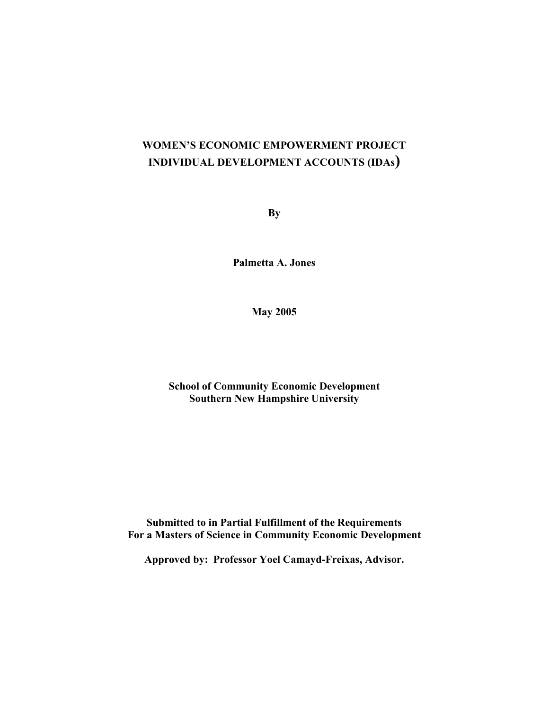# **WOMEN'S ECONOMIC EMPOWERMENT PROJECT INDIVIDUAL DEVELOPMENT ACCOUNTS (IDAs)**

**By**

**Palmetta A. Jones**

**May 2005**

**School of Community Economic Development Southern New Hampshire University**

**Submitted to in Partial Fulfillment of the Requirements For a Masters of Science in Community Economic Development**

**Approved by: Professor Yoel Camayd-Freixas, Advisor.**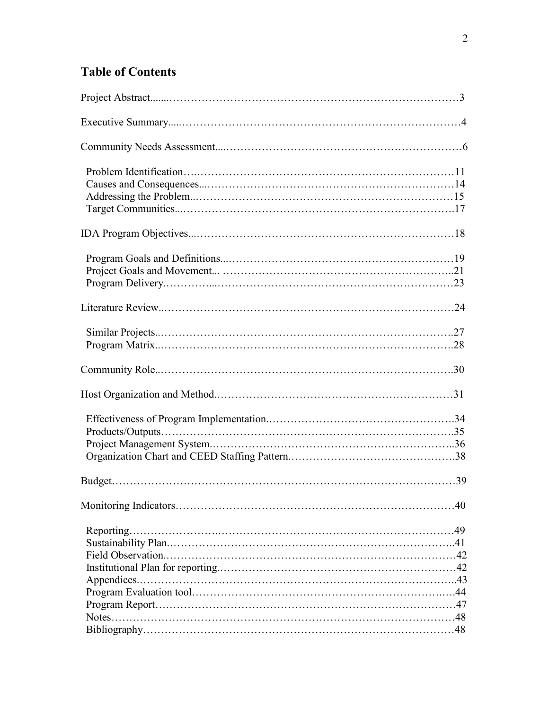# **Table of Contents**

| .40 |
|-----|
|     |
|     |
|     |
|     |
|     |
|     |
|     |
|     |
|     |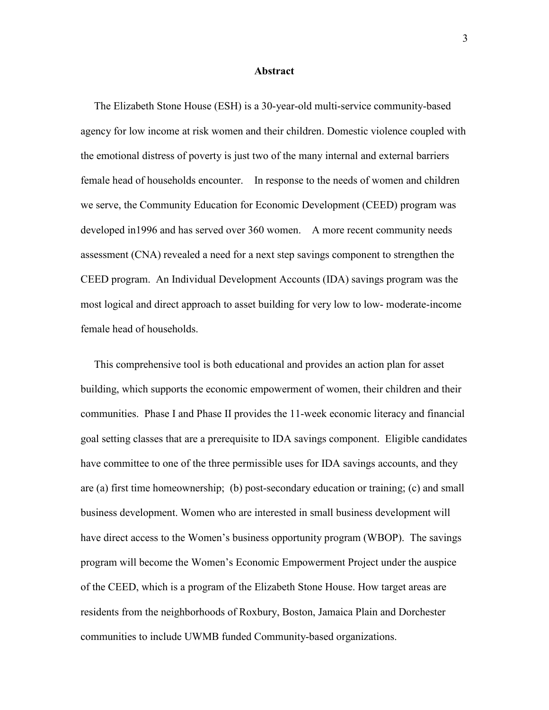#### **Abstract**

 The Elizabeth Stone House (ESH) is a 30-year-old multi-service community-based agency for low income at risk women and their children. Domestic violence coupled with the emotional distress of poverty is just two of the many internal and external barriers female head of households encounter. In response to the needs of women and children we serve, the Community Education for Economic Development (CEED) program was developed in1996 and has served over 360 women. A more recent community needs assessment (CNA) revealed a need for a next step savings component to strengthen the CEED program. An Individual Development Accounts (IDA) savings program was the most logical and direct approach to asset building for very low to low- moderate-income female head of households.

 This comprehensive tool is both educational and provides an action plan for asset building, which supports the economic empowerment of women, their children and their communities. Phase I and Phase II provides the 11-week economic literacy and financial goal setting classes that are a prerequisite to IDA savings component. Eligible candidates have committee to one of the three permissible uses for IDA savings accounts, and they are (a) first time homeownership; (b) post-secondary education or training; (c) and small business development. Women who are interested in small business development will have direct access to the Women's business opportunity program (WBOP). The savings program will become the Women's Economic Empowerment Project under the auspice of the CEED, which is a program of the Elizabeth Stone House. How target areas are residents from the neighborhoods of Roxbury, Boston, Jamaica Plain and Dorchester communities to include UWMB funded Community-based organizations.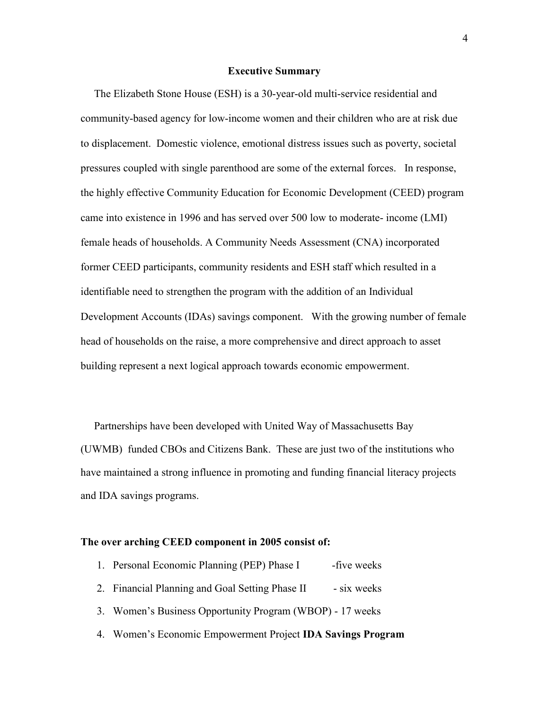#### **Executive Summary**

 The Elizabeth Stone House (ESH) is a 30-year-old multi-service residential and community-based agency for low-income women and their children who are at risk due to displacement. Domestic violence, emotional distress issues such as poverty, societal pressures coupled with single parenthood are some of the external forces. In response, the highly effective Community Education for Economic Development (CEED) program came into existence in 1996 and has served over 500 low to moderate- income (LMI) female heads of households. A Community Needs Assessment (CNA) incorporated former CEED participants, community residents and ESH staff which resulted in a identifiable need to strengthen the program with the addition of an Individual Development Accounts (IDAs) savings component.With the growing number of female head of households on the raise, a more comprehensive and direct approach to asset building represent a next logical approach towards economic empowerment.

 Partnerships have been developed with United Way of Massachusetts Bay (UWMB) funded CBOs and Citizens Bank. These are just two of the institutions who have maintained a strong influence in promoting and funding financial literacy projects and IDA savings programs.

#### **The over arching CEED component in 2005 consist of:**

- 1. Personal Economic Planning (PEP) Phase I -five weeks
- 2. Financial Planning and Goal Setting Phase II six weeks
- 3. Women's Business Opportunity Program (WBOP) 17 weeks
- 4. Women's Economic Empowerment Project **IDA Savings Program**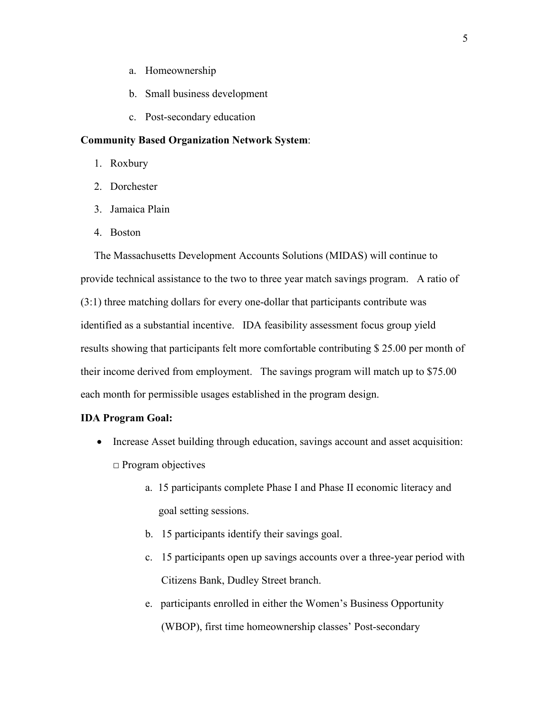- a. Homeownership
- b. Small business development
- c. Post-secondary education

#### **Community Based Organization Network System**:

- 1. Roxbury
- 2. Dorchester
- 3. Jamaica Plain
- 4. Boston

 The Massachusetts Development Accounts Solutions (MIDAS) will continue to provide technical assistance to the two to three year match savings program. A ratio of (3:1) three matching dollars for every one-dollar that participants contribute was identified as a substantial incentive. IDA feasibility assessment focus group yield results showing that participants felt more comfortable contributing \$ 25.00 per month of their income derived from employment. The savings program will match up to \$75.00 each month for permissible usages established in the program design.

#### **IDA Program Goal:**

- Increase Asset building through education, savings account and asset acquisition: □ Program objectives
	- a. 15 participants complete Phase I and Phase II economic literacy and goal setting sessions.
	- b. 15 participants identify their savings goal.
	- c. 15 participants open up savings accounts over a three-year period with Citizens Bank, Dudley Street branch.
	- e. participants enrolled in either the Women's Business Opportunity (WBOP), first time homeownership classes' Post-secondary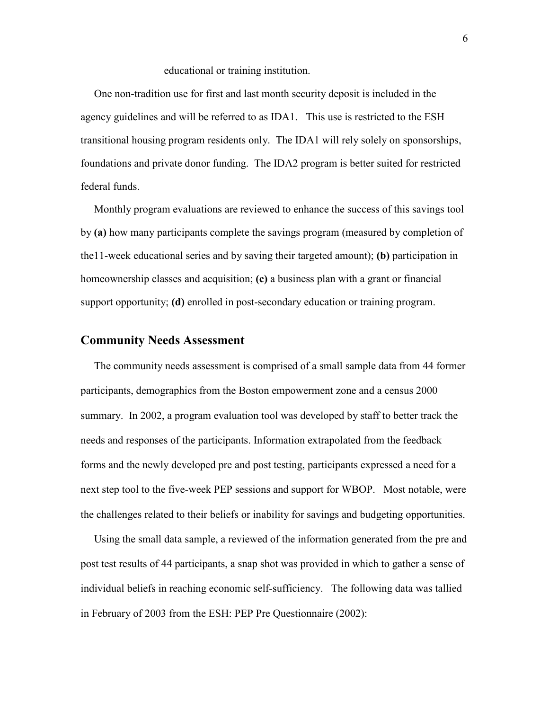#### educational or training institution.

 One non-tradition use for first and last month security deposit is included in the agency guidelines and will be referred to as IDA1. This use is restricted to the ESH transitional housing program residents only. The IDA1 will rely solely on sponsorships, foundations and private donor funding. The IDA2 program is better suited for restricted federal funds.

 Monthly program evaluations are reviewed to enhance the success of this savings tool by **(a)** how many participants complete the savings program (measured by completion of the11-week educational series and by saving their targeted amount); **(b)** participation in homeownership classes and acquisition; **(c)** a business plan with a grant or financial support opportunity; **(d)** enrolled in post-secondary education or training program.

### **Community Needs Assessment**

 The community needs assessment is comprised of a small sample data from 44 former participants, demographics from the Boston empowerment zone and a census 2000 summary. In 2002, a program evaluation tool was developed by staff to better track the needs and responses of the participants. Information extrapolated from the feedback forms and the newly developed pre and post testing, participants expressed a need for a next step tool to the five-week PEP sessions and support for WBOP. Most notable, were the challenges related to their beliefs or inability for savings and budgeting opportunities.

 Using the small data sample, a reviewed of the information generated from the pre and post test results of 44 participants, a snap shot was provided in which to gather a sense of individual beliefs in reaching economic self-sufficiency. The following data was tallied in February of 2003 from the ESH: PEP Pre Questionnaire (2002):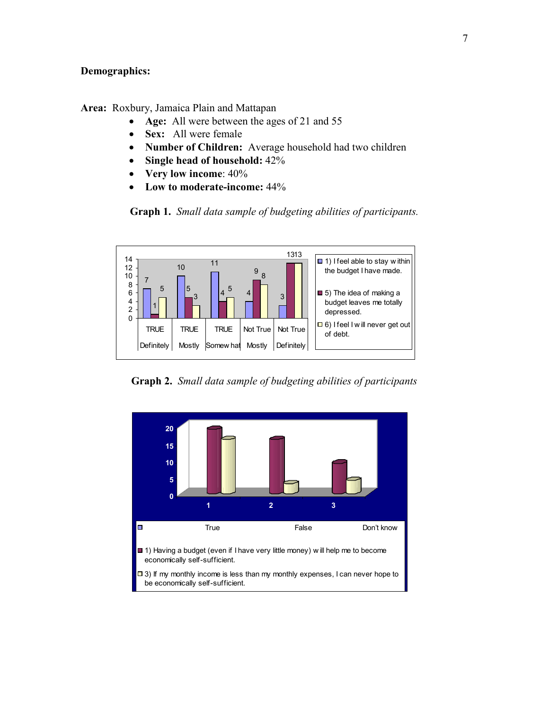### **Demographics:**

**Area:** Roxbury, Jamaica Plain and Mattapan

- **Age:** All were between the ages of 21 and 55
- **Sex:** All were female
- **Number of Children:** Average household had two children
- **Single head of household:** 42%
- **Very low income**: 40%
- **Low to moderate-income:** 44%

**Graph 1.** *Small data sample of budgeting abilities of participants.*



**Graph 2.** *Small data sample of budgeting abilities of participants*

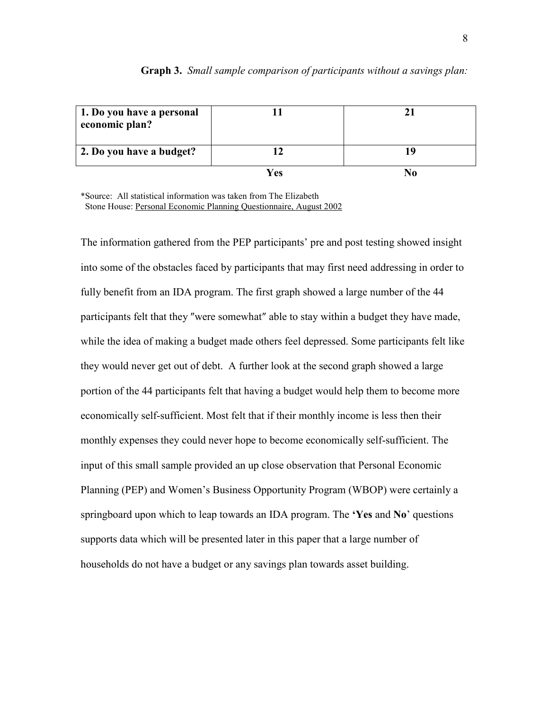| 1. Do you have a personal<br>economic plan? |     |  |
|---------------------------------------------|-----|--|
| 2. Do you have a budget?                    |     |  |
|                                             | Ves |  |

#### **Graph 3.** *Small sample comparison of participants without a savings plan:*

\*Source: All statistical information was taken from The Elizabeth Stone House: Personal Economic Planning Questionnaire, August 2002

The information gathered from the PEP participants' pre and post testing showed insight into some of the obstacles faced by participants that may first need addressing in order to fully benefit from an IDA program. The first graph showed a large number of the 44 participants felt that they ″were somewhat″ able to stay within a budget they have made, while the idea of making a budget made others feel depressed. Some participants felt like they would never get out of debt. A further look at the second graph showed a large portion of the 44 participants felt that having a budget would help them to become more economically self-sufficient. Most felt that if their monthly income is less then their monthly expenses they could never hope to become economically self-sufficient. The input of this small sample provided an up close observation that Personal Economic Planning (PEP) and Women's Business Opportunity Program (WBOP) were certainly a springboard upon which to leap towards an IDA program. The **'Yes** and **No**' questions supports data which will be presented later in this paper that a large number of households do not have a budget or any savings plan towards asset building.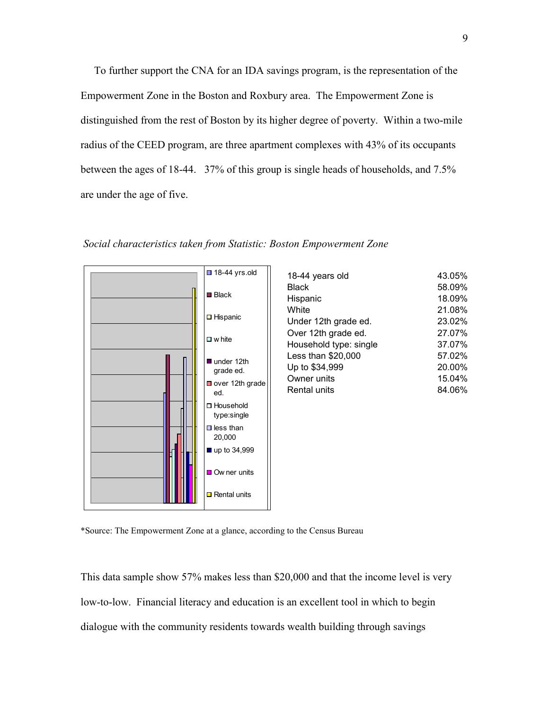To further support the CNA for an IDA savings program, is the representation of the Empowerment Zone in the Boston and Roxbury area. The Empowerment Zone is distinguished from the rest of Boston by its higher degree of poverty. Within a two-mile radius of the CEED program, are three apartment complexes with 43% of its occupants between the ages of 18-44. 37% of this group is single heads of households, and 7.5% are under the age of five.

*Social characteristics taken from Statistic: Boston Empowerment Zone* 



| $\blacksquare$ 18-44 yrs.old | 18-44 years old | 43.05% |
|------------------------------|-----------------|--------|
|                              | <b>Black</b>    | 58.09% |
| $\blacksquare$ Black         | Hispanic        | 18.09% |
|                              | White           | 21.08% |

Black 58.09% Hispanic 18.09%  $.08%$ Under 12th grade ed. 23.02% Over 12th grade ed. 27.07% Household type: single 37.07% Less than \$20,000 57.02% Up to \$34,999 20.00% Owner units 15.04% Rental units 84.06%

\*Source: The Empowerment Zone at a glance, according to the Census Bureau

This data sample show 57% makes less than \$20,000 and that the income level is very low-to-low. Financial literacy and education is an excellent tool in which to begin dialogue with the community residents towards wealth building through savings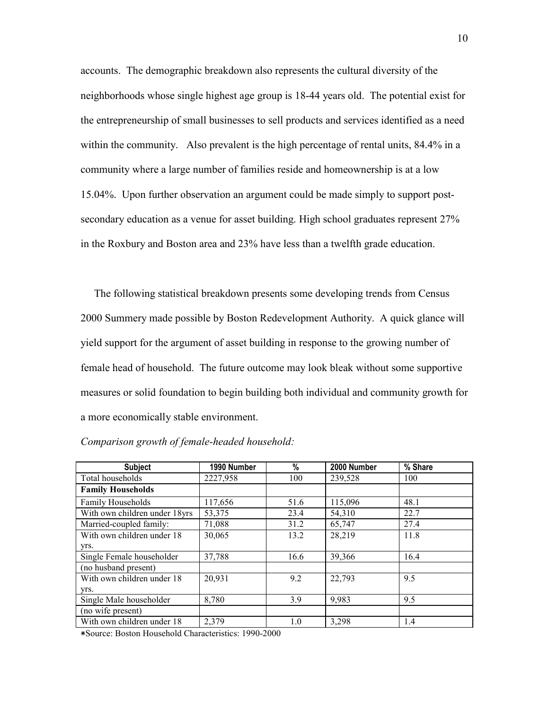accounts. The demographic breakdown also represents the cultural diversity of the neighborhoods whose single highest age group is 18-44 years old. The potential exist for the entrepreneurship of small businesses to sell products and services identified as a need within the community. Also prevalent is the high percentage of rental units, 84.4% in a community where a large number of families reside and homeownership is at a low 15.04%. Upon further observation an argument could be made simply to support postsecondary education as a venue for asset building. High school graduates represent 27% in the Roxbury and Boston area and 23% have less than a twelfth grade education.

 The following statistical breakdown presents some developing trends from Census 2000 Summery made possible by Boston Redevelopment Authority. A quick glance will yield support for the argument of asset building in response to the growing number of female head of household. The future outcome may look bleak without some supportive measures or solid foundation to begin building both individual and community growth for a more economically stable environment.

| <b>Subject</b>                | 1990 Number | %    | 2000 Number | % Share |
|-------------------------------|-------------|------|-------------|---------|
| Total households              | 2227,958    | 100  | 239,528     | 100     |
| <b>Family Households</b>      |             |      |             |         |
| <b>Family Households</b>      | 117,656     | 51.6 | 115,096     | 48.1    |
| With own children under 18yrs | 53,375      | 23.4 | 54,310      | 22.7    |
| Married-coupled family:       | 71,088      | 31.2 | 65,747      | 27.4    |
| With own children under 18    | 30,065      | 13.2 | 28,219      | 11.8    |
| VIS.                          |             |      |             |         |
| Single Female householder     | 37,788      | 16.6 | 39,366      | 16.4    |
| (no husband present)          |             |      |             |         |
| With own children under 18    | 20,931      | 9.2  | 22,793      | 9.5     |
| VIS.                          |             |      |             |         |
| Single Male householder       | 8,780       | 3.9  | 9,983       | 9.5     |
| (no wife present)             |             |      |             |         |
| With own children under 18    | 2,379       | 1.0  | 3,298       | 1.4     |

*Comparison growth of female-headed household:* 

٭Source: Boston Household Characteristics: 1990-2000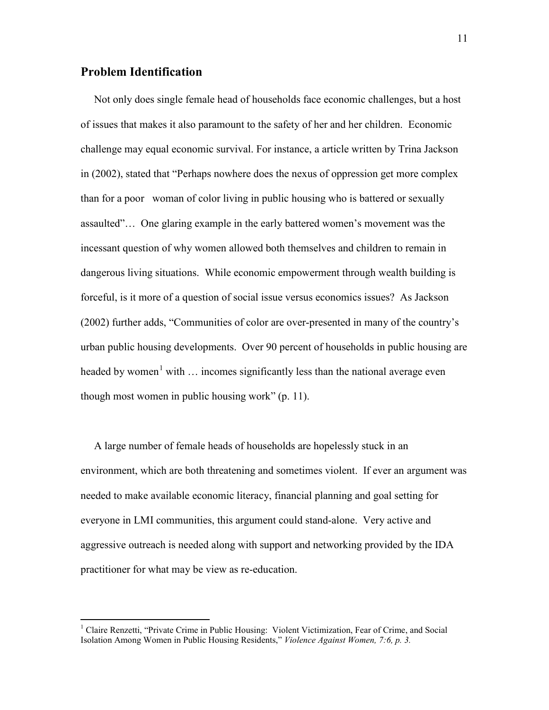# **Problem Identification**

 Not only does single female head of households face economic challenges, but a host of issues that makes it also paramount to the safety of her and her children. Economic challenge may equal economic survival. For instance, a article written by Trina Jackson in (2002), stated that "Perhaps nowhere does the nexus of oppression get more complex than for a poor woman of color living in public housing who is battered or sexually assaulted"… One glaring example in the early battered women's movement was the incessant question of why women allowed both themselves and children to remain in dangerous living situations. While economic empowerment through wealth building is forceful, is it more of a question of social issue versus economics issues? As Jackson (2002) further adds, "Communities of color are over-presented in many of the country's urban public housing developments. Over 90 percent of households in public housing are headed by women<sup>[1](#page-10-0)</sup> with  $\ldots$  incomes significantly less than the national average even though most women in public housing work" (p. 11).

 A large number of female heads of households are hopelessly stuck in an environment, which are both threatening and sometimes violent. If ever an argument was needed to make available economic literacy, financial planning and goal setting for everyone in LMI communities, this argument could stand-alone. Very active and aggressive outreach is needed along with support and networking provided by the IDA practitioner for what may be view as re-education.

<span id="page-10-0"></span><sup>&</sup>lt;sup>1</sup> Claire Renzetti, "Private Crime in Public Housing: Violent Victimization, Fear of Crime, and Social Isolation Among Women in Public Housing Residents," *Violence Against Women, 7:6, p. 3.*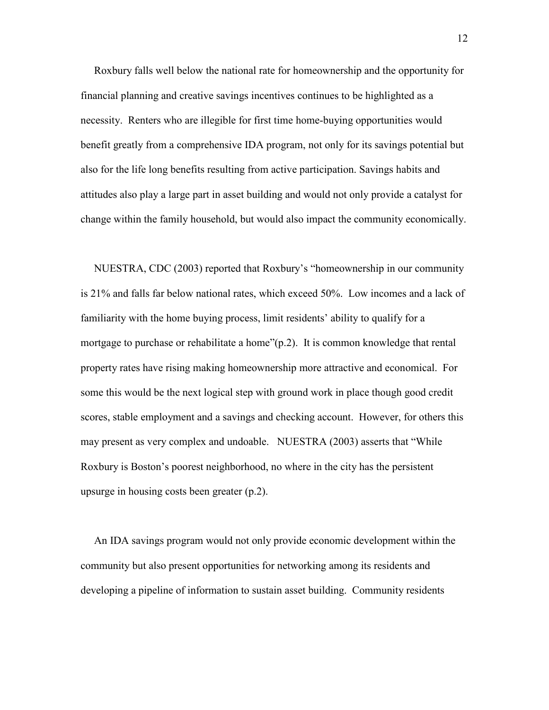Roxbury falls well below the national rate for homeownership and the opportunity for financial planning and creative savings incentives continues to be highlighted as a necessity. Renters who are illegible for first time home-buying opportunities would benefit greatly from a comprehensive IDA program, not only for its savings potential but also for the life long benefits resulting from active participation. Savings habits and attitudes also play a large part in asset building and would not only provide a catalyst for change within the family household, but would also impact the community economically.

 NUESTRA, CDC (2003) reported that Roxbury's "homeownership in our community is 21% and falls far below national rates, which exceed 50%. Low incomes and a lack of familiarity with the home buying process, limit residents' ability to qualify for a mortgage to purchase or rehabilitate a home" $(p.2)$ . It is common knowledge that rental property rates have rising making homeownership more attractive and economical. For some this would be the next logical step with ground work in place though good credit scores, stable employment and a savings and checking account. However, for others this may present as very complex and undoable. NUESTRA (2003) asserts that "While Roxbury is Boston's poorest neighborhood, no where in the city has the persistent upsurge in housing costs been greater (p.2).

 An IDA savings program would not only provide economic development within the community but also present opportunities for networking among its residents and developing a pipeline of information to sustain asset building. Community residents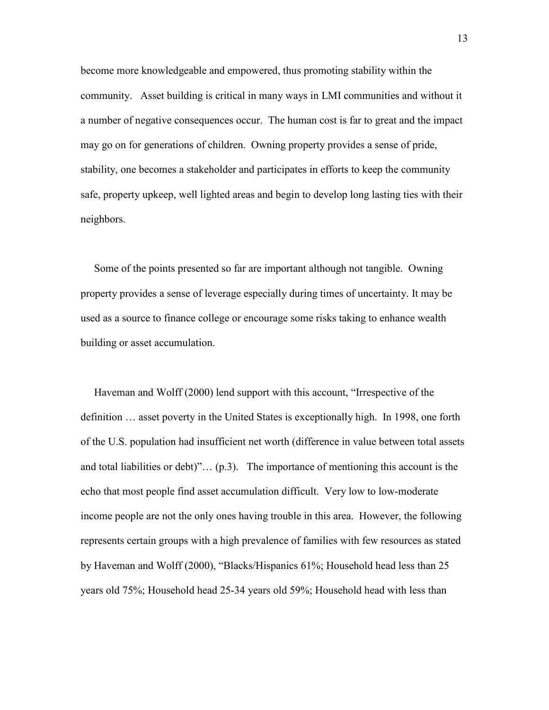become more knowledgeable and empowered, thus promoting stability within the community. Asset building is critical in many ways in LMI communities and without it a number of negative consequences occur. The human cost is far to great and the impact may go on for generations of children. Owning property provides a sense of pride, stability, one becomes a stakeholder and participates in efforts to keep the community safe, property upkeep, well lighted areas and begin to develop long lasting ties with their neighbors.

 Some of the points presented so far are important although not tangible. Owning property provides a sense of leverage especially during times of uncertainty. It may be used as a source to finance college or encourage some risks taking to enhance wealth building or asset accumulation.

 Haveman and Wolff (2000) lend support with this account, "Irrespective of the definition … asset poverty in the United States is exceptionally high. In 1998, one forth of the U.S. population had insufficient net worth (difference in value between total assets and total liabilities or debt)" $\dots$  (p.3). The importance of mentioning this account is the echo that most people find asset accumulation difficult. Very low to low-moderate income people are not the only ones having trouble in this area. However, the following represents certain groups with a high prevalence of families with few resources as stated by Haveman and Wolff (2000), "Blacks/Hispanics 61%; Household head less than 25 years old 75%; Household head 25-34 years old 59%; Household head with less than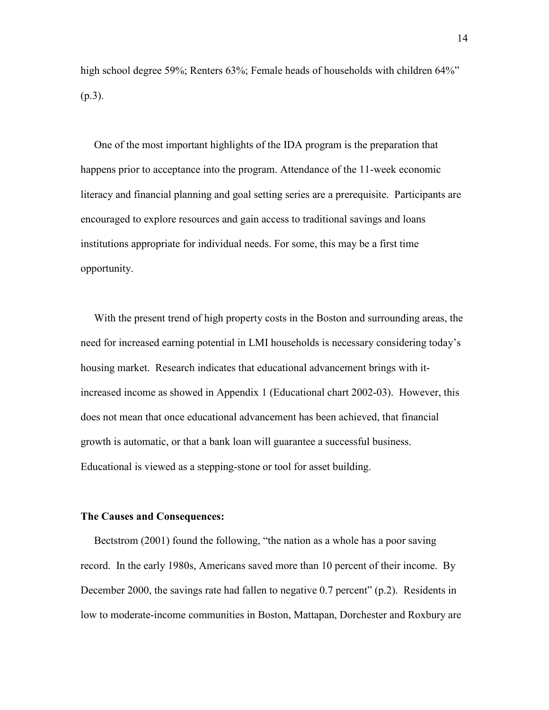high school degree 59%; Renters 63%; Female heads of households with children 64%" (p.3).

 One of the most important highlights of the IDA program is the preparation that happens prior to acceptance into the program. Attendance of the 11-week economic literacy and financial planning and goal setting series are a prerequisite. Participants are encouraged to explore resources and gain access to traditional savings and loans institutions appropriate for individual needs. For some, this may be a first time opportunity.

 With the present trend of high property costs in the Boston and surrounding areas, the need for increased earning potential in LMI households is necessary considering today's housing market. Research indicates that educational advancement brings with itincreased income as showed in Appendix 1 (Educational chart 2002-03). However, this does not mean that once educational advancement has been achieved, that financial growth is automatic, or that a bank loan will guarantee a successful business. Educational is viewed as a stepping-stone or tool for asset building.

#### **The Causes and Consequences:**

 Bectstrom (2001) found the following, "the nation as a whole has a poor saving record. In the early 1980s, Americans saved more than 10 percent of their income. By December 2000, the savings rate had fallen to negative 0.7 percent" (p.2). Residents in low to moderate-income communities in Boston, Mattapan, Dorchester and Roxbury are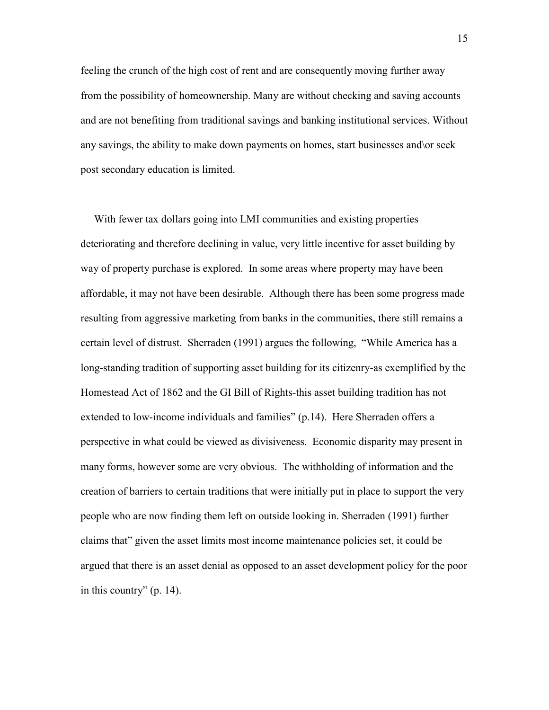feeling the crunch of the high cost of rent and are consequently moving further away from the possibility of homeownership. Many are without checking and saving accounts and are not benefiting from traditional savings and banking institutional services. Without any savings, the ability to make down payments on homes, start businesses and\or seek post secondary education is limited.

 With fewer tax dollars going into LMI communities and existing properties deteriorating and therefore declining in value, very little incentive for asset building by way of property purchase is explored. In some areas where property may have been affordable, it may not have been desirable. Although there has been some progress made resulting from aggressive marketing from banks in the communities, there still remains a certain level of distrust. Sherraden (1991) argues the following, "While America has a long-standing tradition of supporting asset building for its citizenry-as exemplified by the Homestead Act of 1862 and the GI Bill of Rights-this asset building tradition has not extended to low-income individuals and families" (p.14). Here Sherraden offers a perspective in what could be viewed as divisiveness. Economic disparity may present in many forms, however some are very obvious. The withholding of information and the creation of barriers to certain traditions that were initially put in place to support the very people who are now finding them left on outside looking in. Sherraden (1991) further claims that" given the asset limits most income maintenance policies set, it could be argued that there is an asset denial as opposed to an asset development policy for the poor in this country" (p. 14).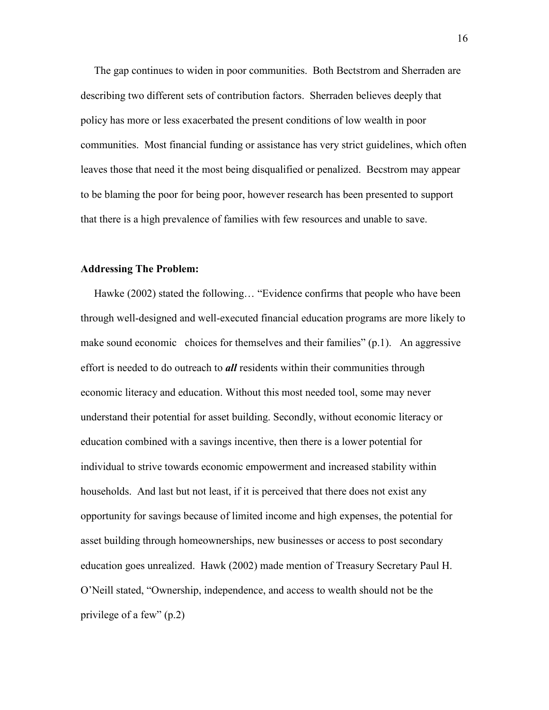The gap continues to widen in poor communities. Both Bectstrom and Sherraden are describing two different sets of contribution factors. Sherraden believes deeply that policy has more or less exacerbated the present conditions of low wealth in poor communities. Most financial funding or assistance has very strict guidelines, which often leaves those that need it the most being disqualified or penalized. Becstrom may appear to be blaming the poor for being poor, however research has been presented to support that there is a high prevalence of families with few resources and unable to save.

#### **Addressing The Problem:**

 Hawke (2002) stated the following… "Evidence confirms that people who have been through well-designed and well-executed financial education programs are more likely to make sound economic choices for themselves and their families"  $(p,1)$ . An aggressive effort is needed to do outreach to *all* residents within their communities through economic literacy and education. Without this most needed tool, some may never understand their potential for asset building. Secondly, without economic literacy or education combined with a savings incentive, then there is a lower potential for individual to strive towards economic empowerment and increased stability within households.And last but not least, if it is perceived that there does not exist any opportunity for savings because of limited income and high expenses, the potential for asset building through homeownerships, new businesses or access to post secondary education goes unrealized. Hawk (2002) made mention of Treasury Secretary Paul H. O'Neill stated, "Ownership, independence, and access to wealth should not be the privilege of a few" (p.2)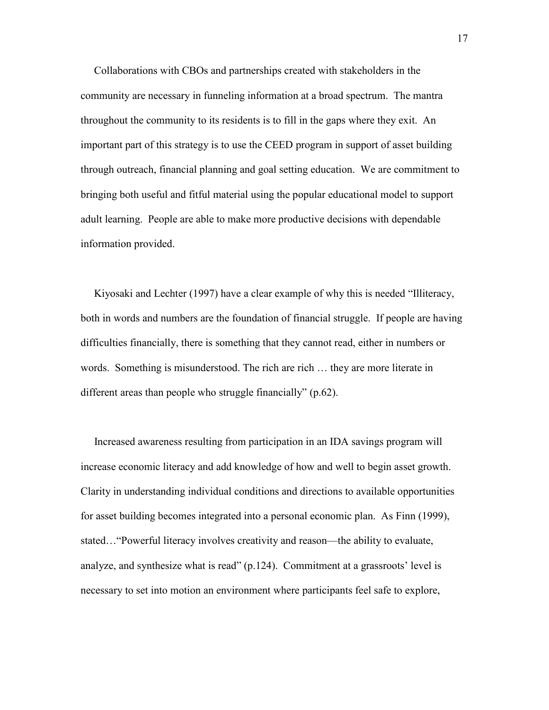Collaborations with CBOs and partnerships created with stakeholders in the community are necessary in funneling information at a broad spectrum. The mantra throughout the community to its residents is to fill in the gaps where they exit. An important part of this strategy is to use the CEED program in support of asset building through outreach, financial planning and goal setting education. We are commitment to bringing both useful and fitful material using the popular educational model to support adult learning. People are able to make more productive decisions with dependable information provided.

 Kiyosaki and Lechter (1997) have a clear example of why this is needed "Illiteracy, both in words and numbers are the foundation of financial struggle. If people are having difficulties financially, there is something that they cannot read, either in numbers or words. Something is misunderstood. The rich are rich … they are more literate in different areas than people who struggle financially" (p.62).

 Increased awareness resulting from participation in an IDA savings program will increase economic literacy and add knowledge of how and well to begin asset growth. Clarity in understanding individual conditions and directions to available opportunities for asset building becomes integrated into a personal economic plan. As Finn (1999), stated…"Powerful literacy involves creativity and reason—the ability to evaluate, analyze, and synthesize what is read" (p.124). Commitment at a grassroots' level is necessary to set into motion an environment where participants feel safe to explore,

17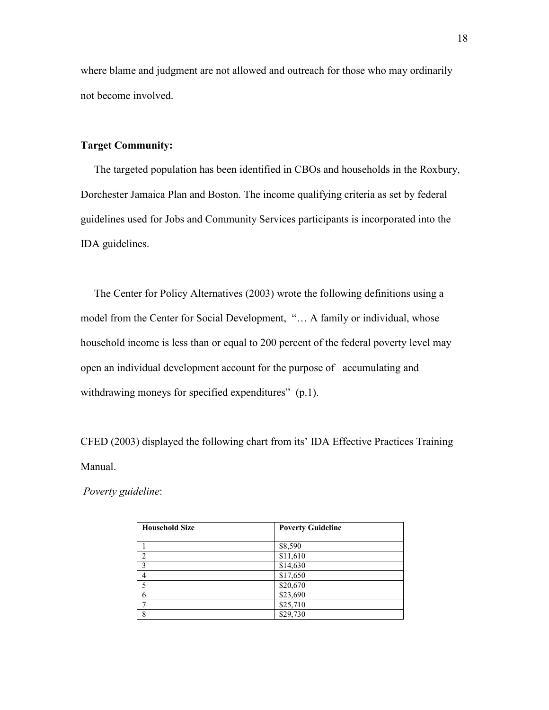where blame and judgment are not allowed and outreach for those who may ordinarily not become involved.

#### **Target Community:**

 The targeted population has been identified in CBOs and households in the Roxbury, Dorchester Jamaica Plan and Boston. The income qualifying criteria as set by federal guidelines used for Jobs and Community Services participants is incorporated into the IDA guidelines.

 The Center for Policy Alternatives (2003) wrote the following definitions using a model from the Center for Social Development, "… A family or individual, whose household income is less than or equal to 200 percent of the federal poverty level may open an individual development account for the purpose of accumulating and withdrawing moneys for specified expenditures" (p.1).

CFED (2003) displayed the following chart from its' IDA Effective Practices Training Manual.

*Poverty guideline*:

| <b>Household Size</b> | <b>Poverty Guideline</b> |
|-----------------------|--------------------------|
|                       |                          |
|                       | \$8,590                  |
|                       | \$11,610                 |
|                       | \$14,630                 |
|                       | \$17,650                 |
|                       | \$20,670                 |
| 6                     | \$23,690                 |
|                       | \$25,710                 |
| o                     | \$29,730                 |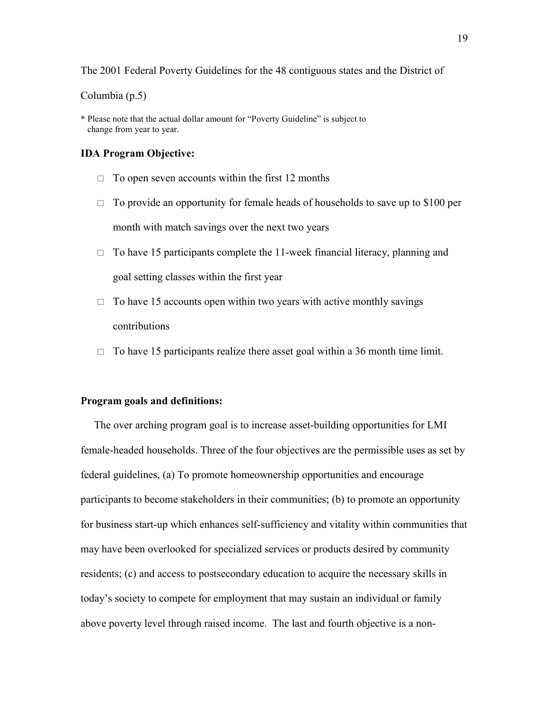The 2001 Federal Poverty Guidelines for the 48 contiguous states and the District of

Columbia (p.5)

**\*** Please note that the actual dollar amount for "Poverty Guideline" is subject to change from year to year.

#### **IDA Program Objective:**

- $\Box$  To open seven accounts within the first 12 months
- $\Box$  To provide an opportunity for female heads of households to save up to \$100 per month with match savings over the next two years
- $\Box$  To have 15 participants complete the 11-week financial literacy, planning and goal setting classes within the first year
- $\Box$  To have 15 accounts open within two years with active monthly savings contributions
- $\Box$  To have 15 participants realize there asset goal within a 36 month time limit.

#### **Program goals and definitions:**

 The over arching program goal is to increase asset-building opportunities for LMI female-headed households. Three of the four objectives are the permissible uses as set by federal guidelines, (a) To promote homeownership opportunities and encourage participants to become stakeholders in their communities; (b) to promote an opportunity for business start-up which enhances self-sufficiency and vitality within communities that may have been overlooked for specialized services or products desired by community residents; (c) and access to postsecondary education to acquire the necessary skills in today's society to compete for employment that may sustain an individual or family above poverty level through raised income. The last and fourth objective is a non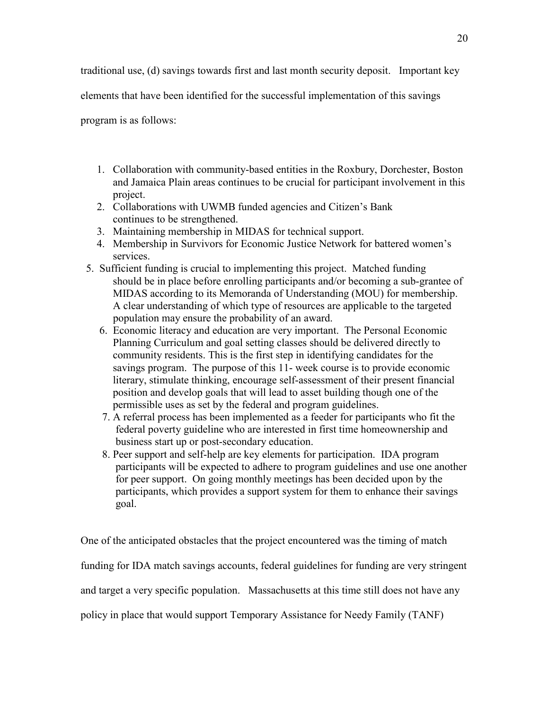traditional use, (d) savings towards first and last month security deposit. Important key

elements that have been identified for the successful implementation of this savings

program is as follows:

- 1. Collaboration with community-based entities in the Roxbury, Dorchester, Boston and Jamaica Plain areas continues to be crucial for participant involvement in this project.
- 2. Collaborations with UWMB funded agencies and Citizen's Bank continues to be strengthened.
- 3. Maintaining membership in MIDAS for technical support.
- 4. Membership in Survivors for Economic Justice Network for battered women's services.
- 5. Sufficient funding is crucial to implementing this project. Matched funding should be in place before enrolling participants and/or becoming a sub-grantee of MIDAS according to its Memoranda of Understanding (MOU) for membership. A clear understanding of which type of resources are applicable to the targeted population may ensure the probability of an award.
	- 6. Economic literacy and education are very important. The Personal Economic Planning Curriculum and goal setting classes should be delivered directly to community residents. This is the first step in identifying candidates for the savings program. The purpose of this 11- week course is to provide economic literary, stimulate thinking, encourage self-assessment of their present financial position and develop goals that will lead to asset building though one of the permissible uses as set by the federal and program guidelines.
	- 7. A referral process has been implemented as a feeder for participants who fit the federal poverty guideline who are interested in first time homeownership and business start up or post-secondary education.
	- 8. Peer support and self-help are key elements for participation. IDA program participants will be expected to adhere to program guidelines and use one another for peer support. On going monthly meetings has been decided upon by the participants, which provides a support system for them to enhance their savings goal.

One of the anticipated obstacles that the project encountered was the timing of match funding for IDA match savings accounts, federal guidelines for funding are very stringent and target a very specific population. Massachusetts at this time still does not have any policy in place that would support Temporary Assistance for Needy Family (TANF)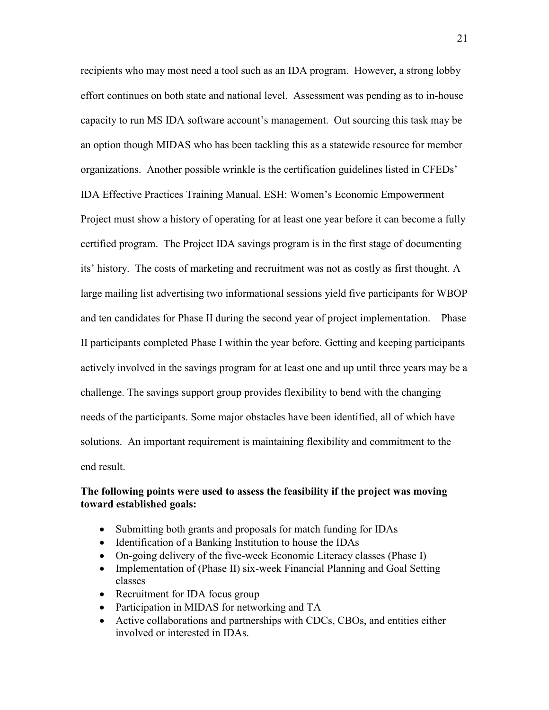recipients who may most need a tool such as an IDA program. However, a strong lobby effort continues on both state and national level. Assessment was pending as to in-house capacity to run MS IDA software account's management. Out sourcing this task may be an option though MIDAS who has been tackling this as a statewide resource for member organizations. Another possible wrinkle is the certification guidelines listed in CFEDs' IDA Effective Practices Training Manual. ESH: Women's Economic Empowerment Project must show a history of operating for at least one year before it can become a fully certified program. The Project IDA savings program is in the first stage of documenting its' history. The costs of marketing and recruitment was not as costly as first thought. A large mailing list advertising two informational sessions yield five participants for WBOP and ten candidates for Phase II during the second year of project implementation. Phase II participants completed Phase I within the year before. Getting and keeping participants actively involved in the savings program for at least one and up until three years may be a challenge. The savings support group provides flexibility to bend with the changing needs of the participants. Some major obstacles have been identified, all of which have solutions. An important requirement is maintaining flexibility and commitment to the end result.

#### **The following points were used to assess the feasibility if the project was moving toward established goals:**

- Submitting both grants and proposals for match funding for IDAs
- Identification of a Banking Institution to house the IDAs
- On-going delivery of the five-week Economic Literacy classes (Phase I)
- Implementation of (Phase II) six-week Financial Planning and Goal Setting classes
- Recruitment for IDA focus group
- Participation in MIDAS for networking and TA
- Active collaborations and partnerships with CDCs, CBOs, and entities either involved or interested in IDAs.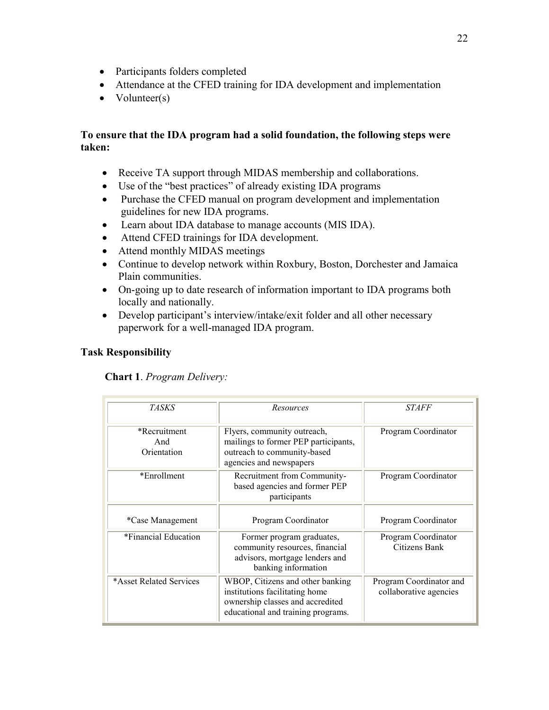- Participants folders completed
- Attendance at the CFED training for IDA development and implementation
- Volunteer(s)

### **To ensure that the IDA program had a solid foundation, the following steps were taken:**

- Receive TA support through MIDAS membership and collaborations.
- Use of the "best practices" of already existing IDA programs
- Purchase the CFED manual on program development and implementation guidelines for new IDA programs.
- Learn about IDA database to manage accounts (MIS IDA).
- Attend CFED trainings for IDA development.
- Attend monthly MIDAS meetings
- Continue to develop network within Roxbury, Boston, Dorchester and Jamaica Plain communities.
- On-going up to date research of information important to IDA programs both locally and nationally.
- Develop participant's interview/intake/exit folder and all other necessary paperwork for a well-managed IDA program.

# **Task Responsibility**

**Chart 1**. *Program Delivery:*

| <i>TASKS</i>                       | Resources                                                                                                                                    | <i>STAFF</i>                                      |
|------------------------------------|----------------------------------------------------------------------------------------------------------------------------------------------|---------------------------------------------------|
| *Recruitment<br>And<br>Orientation | Flyers, community outreach,<br>mailings to former PEP participants,<br>outreach to community-based<br>agencies and newspapers                | Program Coordinator                               |
| *Enrollment                        | Recruitment from Community-<br>based agencies and former PEP<br>participants                                                                 | Program Coordinator                               |
| *Case Management                   | Program Coordinator                                                                                                                          | Program Coordinator                               |
| *Financial Education               | Former program graduates,<br>community resources, financial<br>advisors, mortgage lenders and<br>banking information                         | Program Coordinator<br>Citizens Bank              |
| *Asset Related Services            | WBOP, Citizens and other banking<br>institutions facilitating home<br>ownership classes and accredited<br>educational and training programs. | Program Coordinator and<br>collaborative agencies |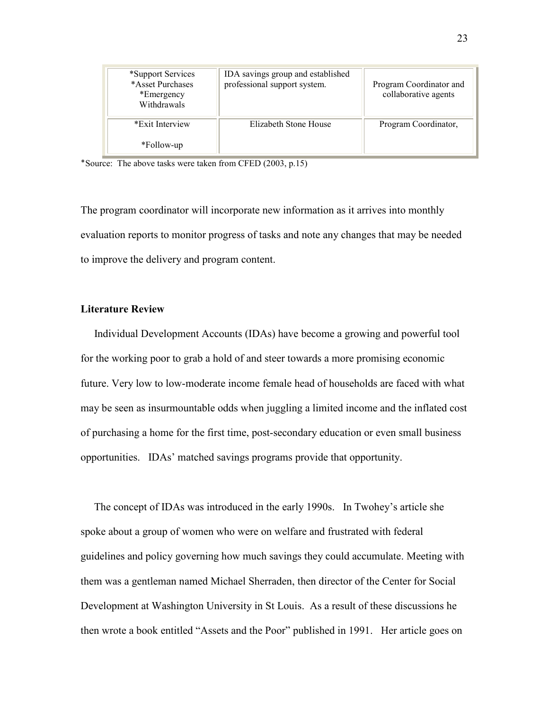| *Support Services<br>*Asset Purchases<br>*Emergency<br>Withdrawals | IDA savings group and established<br>professional support system. | Program Coordinator and<br>collaborative agents |
|--------------------------------------------------------------------|-------------------------------------------------------------------|-------------------------------------------------|
| *Exit Interview                                                    | Elizabeth Stone House                                             | Program Coordinator,                            |
| *Follow-up                                                         |                                                                   |                                                 |

٭Source: The above tasks were taken from CFED (2003, p.15)

The program coordinator will incorporate new information as it arrives into monthly evaluation reports to monitor progress of tasks and note any changes that may be needed to improve the delivery and program content.

#### **Literature Review**

Individual Development Accounts (IDAs) have become a growing and powerful tool for the working poor to grab a hold of and steer towards a more promising economic future. Very low to low-moderate income female head of households are faced with what may be seen as insurmountable odds when juggling a limited income and the inflated cost of purchasing a home for the first time, post-secondary education or even small business opportunities. IDAs' matched savings programs provide that opportunity.

 The concept of IDAs was introduced in the early 1990s. In Twohey's article she spoke about a group of women who were on welfare and frustrated with federal guidelines and policy governing how much savings they could accumulate. Meeting with them was a gentleman named Michael Sherraden, then director of the Center for Social Development at Washington University in St Louis. As a result of these discussions he then wrote a book entitled "Assets and the Poor" published in 1991. Her article goes on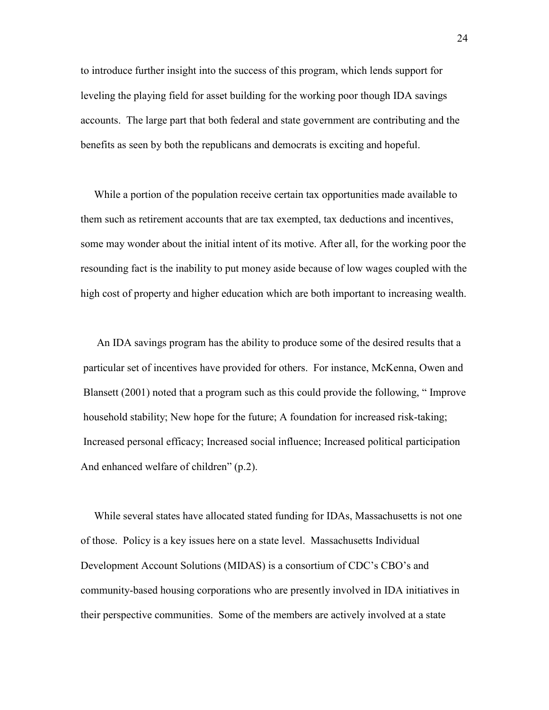to introduce further insight into the success of this program, which lends support for leveling the playing field for asset building for the working poor though IDA savings accounts. The large part that both federal and state government are contributing and the benefits as seen by both the republicans and democrats is exciting and hopeful.

 While a portion of the population receive certain tax opportunities made available to them such as retirement accounts that are tax exempted, tax deductions and incentives, some may wonder about the initial intent of its motive. After all, for the working poor the resounding fact is the inability to put money aside because of low wages coupled with the high cost of property and higher education which are both important to increasing wealth.

 An IDA savings program has the ability to produce some of the desired results that a particular set of incentives have provided for others. For instance, McKenna, Owen and Blansett (2001) noted that a program such as this could provide the following, " Improve household stability; New hope for the future; A foundation for increased risk-taking; Increased personal efficacy; Increased social influence; Increased political participation And enhanced welfare of children" (p.2).

 While several states have allocated stated funding for IDAs, Massachusetts is not one of those. Policy is a key issues here on a state level. Massachusetts Individual Development Account Solutions (MIDAS) is a consortium of CDC's CBO's and community-based housing corporations who are presently involved in IDA initiatives in their perspective communities. Some of the members are actively involved at a state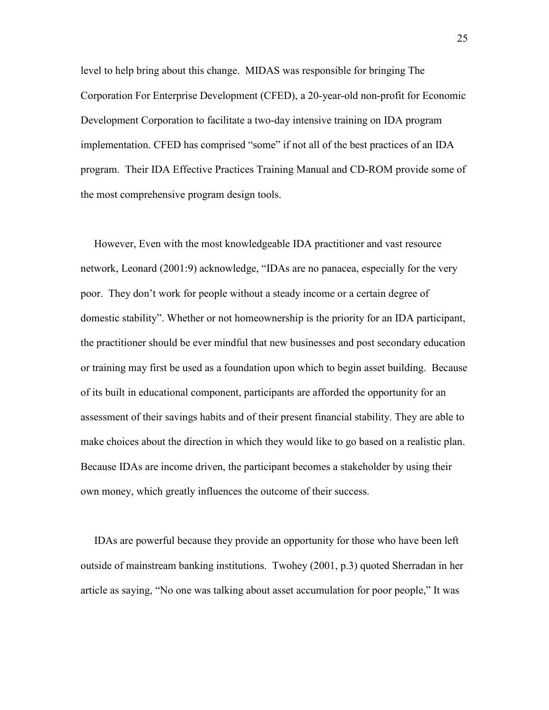level to help bring about this change. MIDAS was responsible for bringing The Corporation For Enterprise Development (CFED), a 20-year-old non-profit for Economic Development Corporation to facilitate a two-day intensive training on IDA program implementation. CFED has comprised "some" if not all of the best practices of an IDA program. Their IDA Effective Practices Training Manual and CD-ROM provide some of the most comprehensive program design tools.

 However, Even with the most knowledgeable IDA practitioner and vast resource network, Leonard (2001:9) acknowledge, "IDAs are no panacea, especially for the very poor. They don't work for people without a steady income or a certain degree of domestic stability". Whether or not homeownership is the priority for an IDA participant, the practitioner should be ever mindful that new businesses and post secondary education or training may first be used as a foundation upon which to begin asset building. Because of its built in educational component, participants are afforded the opportunity for an assessment of their savings habits and of their present financial stability. They are able to make choices about the direction in which they would like to go based on a realistic plan. Because IDAs are income driven, the participant becomes a stakeholder by using their own money, which greatly influences the outcome of their success.

 IDAs are powerful because they provide an opportunity for those who have been left outside of mainstream banking institutions. Twohey (2001, p.3) quoted Sherradan in her article as saying, "No one was talking about asset accumulation for poor people," It was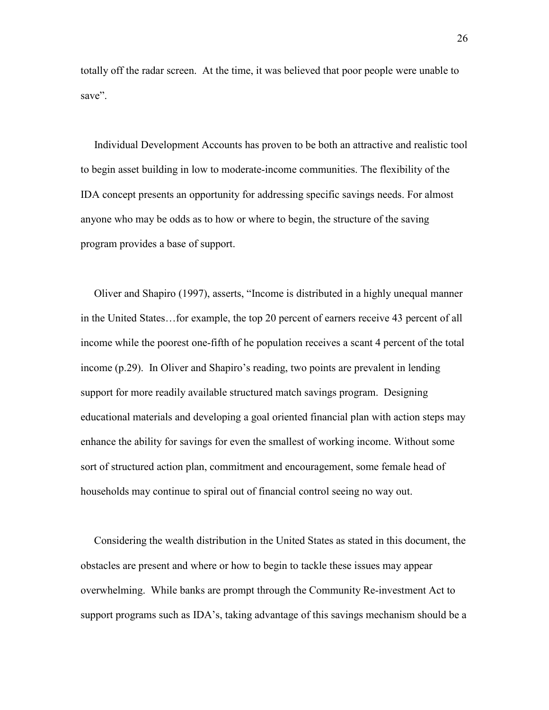totally off the radar screen. At the time, it was believed that poor people were unable to save".

 Individual Development Accounts has proven to be both an attractive and realistic tool to begin asset building in low to moderate-income communities. The flexibility of the IDA concept presents an opportunity for addressing specific savings needs. For almost anyone who may be odds as to how or where to begin, the structure of the saving program provides a base of support.

 Oliver and Shapiro (1997), asserts, "Income is distributed in a highly unequal manner in the United States…for example, the top 20 percent of earners receive 43 percent of all income while the poorest one-fifth of he population receives a scant 4 percent of the total income (p.29). In Oliver and Shapiro's reading, two points are prevalent in lending support for more readily available structured match savings program. Designing educational materials and developing a goal oriented financial plan with action steps may enhance the ability for savings for even the smallest of working income. Without some sort of structured action plan, commitment and encouragement, some female head of households may continue to spiral out of financial control seeing no way out.

 Considering the wealth distribution in the United States as stated in this document, the obstacles are present and where or how to begin to tackle these issues may appear overwhelming. While banks are prompt through the Community Re-investment Act to support programs such as IDA's, taking advantage of this savings mechanism should be a

26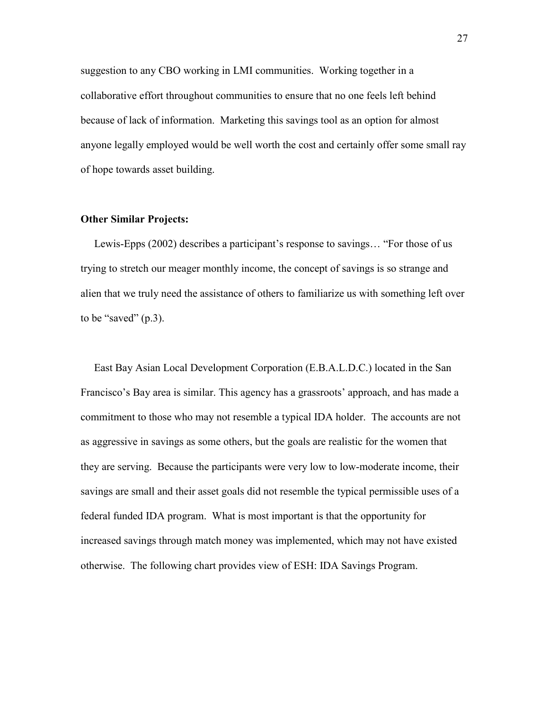suggestion to any CBO working in LMI communities. Working together in a collaborative effort throughout communities to ensure that no one feels left behind because of lack of information. Marketing this savings tool as an option for almost anyone legally employed would be well worth the cost and certainly offer some small ray of hope towards asset building.

#### **Other Similar Projects:**

 Lewis-Epps (2002) describes a participant's response to savings… "For those of us trying to stretch our meager monthly income, the concept of savings is so strange and alien that we truly need the assistance of others to familiarize us with something left over to be "saved"  $(p.3)$ .

 East Bay Asian Local Development Corporation (E.B.A.L.D.C.) located in the San Francisco's Bay area is similar. This agency has a grassroots' approach, and has made a commitment to those who may not resemble a typical IDA holder. The accounts are not as aggressive in savings as some others, but the goals are realistic for the women that they are serving. Because the participants were very low to low-moderate income, their savings are small and their asset goals did not resemble the typical permissible uses of a federal funded IDA program. What is most important is that the opportunity for increased savings through match money was implemented, which may not have existed otherwise. The following chart provides view of ESH: IDA Savings Program.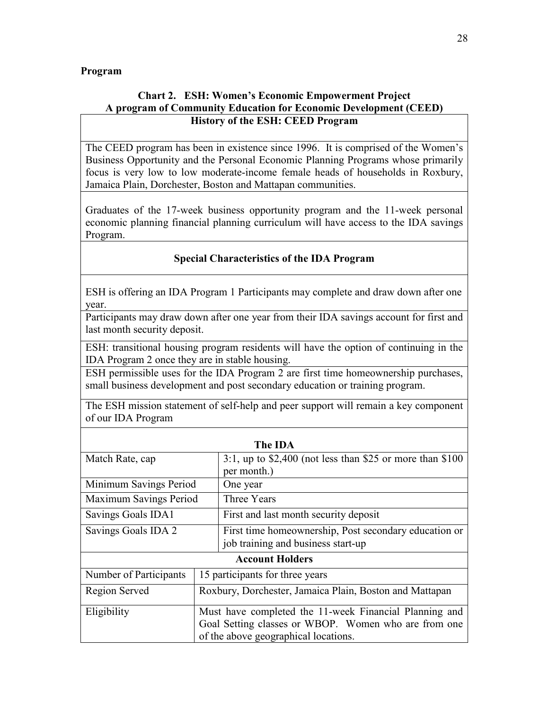### **Program**

# **Chart 2. ESH: Women's Economic Empowerment Project A program of Community Education for Economic Development (CEED) History of the ESH: CEED Program**

The CEED program has been in existence since 1996. It is comprised of the Women's Business Opportunity and the Personal Economic Planning Programs whose primarily focus is very low to low moderate-income female heads of households in Roxbury, Jamaica Plain, Dorchester, Boston and Mattapan communities.

Graduates of the 17-week business opportunity program and the 11-week personal economic planning financial planning curriculum will have access to the IDA savings Program.

### **Special Characteristics of the IDA Program**

ESH is offering an IDA Program 1 Participants may complete and draw down after one year.

Participants may draw down after one year from their IDA savings account for first and last month security deposit.

ESH: transitional housing program residents will have the option of continuing in the IDA Program 2 once they are in stable housing.

ESH permissible uses for the IDA Program 2 are first time homeownership purchases, small business development and post secondary education or training program.

The ESH mission statement of self-help and peer support will remain a key component of our IDA Program

|                           |                                                         | The IDA                                                    |  |
|---------------------------|---------------------------------------------------------|------------------------------------------------------------|--|
| Match Rate, cap           |                                                         | 3:1, up to $$2,400$ (not less than \$25 or more than \$100 |  |
|                           |                                                         | per month.)                                                |  |
| Minimum Savings Period    |                                                         | One year                                                   |  |
| Maximum Savings Period    |                                                         | Three Years                                                |  |
| <b>Savings Goals IDA1</b> |                                                         | First and last month security deposit                      |  |
| Savings Goals IDA 2       |                                                         | First time homeownership, Post secondary education or      |  |
|                           |                                                         | job training and business start-up                         |  |
|                           |                                                         | <b>Account Holders</b>                                     |  |
| Number of Participants    |                                                         | 15 participants for three years                            |  |
| Region Served             | Roxbury, Dorchester, Jamaica Plain, Boston and Mattapan |                                                            |  |
| Eligibility               | Must have completed the 11-week Financial Planning and  |                                                            |  |
|                           | Goal Setting classes or WBOP. Women who are from one    |                                                            |  |
|                           |                                                         | of the above geographical locations.                       |  |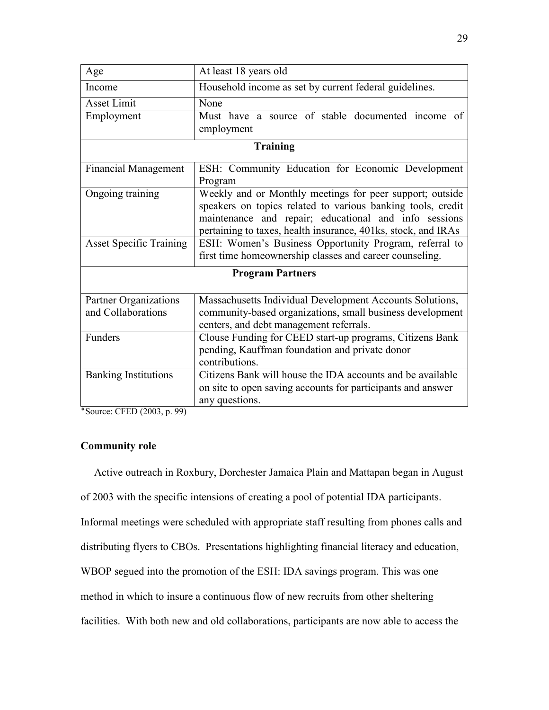| Age                            | At least 18 years old                                         |  |  |
|--------------------------------|---------------------------------------------------------------|--|--|
| Income                         | Household income as set by current federal guidelines.        |  |  |
| <b>Asset Limit</b>             | None                                                          |  |  |
| Employment                     | Must have a source of stable documented income of             |  |  |
|                                | employment                                                    |  |  |
|                                | <b>Training</b>                                               |  |  |
| <b>Financial Management</b>    | ESH: Community Education for Economic Development             |  |  |
|                                | Program                                                       |  |  |
| Ongoing training               | Weekly and or Monthly meetings for peer support; outside      |  |  |
|                                | speakers on topics related to various banking tools, credit   |  |  |
|                                | maintenance and repair; educational and info sessions         |  |  |
|                                | pertaining to taxes, health insurance, 401ks, stock, and IRAs |  |  |
| <b>Asset Specific Training</b> | ESH: Women's Business Opportunity Program, referral to        |  |  |
|                                | first time homeownership classes and career counseling.       |  |  |
| <b>Program Partners</b>        |                                                               |  |  |
| Partner Organizations          | Massachusetts Individual Development Accounts Solutions,      |  |  |
| and Collaborations             | community-based organizations, small business development     |  |  |
|                                | centers, and debt management referrals.                       |  |  |
| Funders                        | Clouse Funding for CEED start-up programs, Citizens Bank      |  |  |
|                                | pending, Kauffman foundation and private donor                |  |  |
|                                | contributions.                                                |  |  |
| <b>Banking Institutions</b>    | Citizens Bank will house the IDA accounts and be available    |  |  |
|                                | on site to open saving accounts for participants and answer   |  |  |
|                                | any questions.                                                |  |  |

٭Source: CFED (2003, p. 99)

## **Community role**

 Active outreach in Roxbury, Dorchester Jamaica Plain and Mattapan began in August of 2003 with the specific intensions of creating a pool of potential IDA participants. Informal meetings were scheduled with appropriate staff resulting from phones calls and distributing flyers to CBOs. Presentations highlighting financial literacy and education, WBOP segued into the promotion of the ESH: IDA savings program. This was one method in which to insure a continuous flow of new recruits from other sheltering facilities. With both new and old collaborations, participants are now able to access the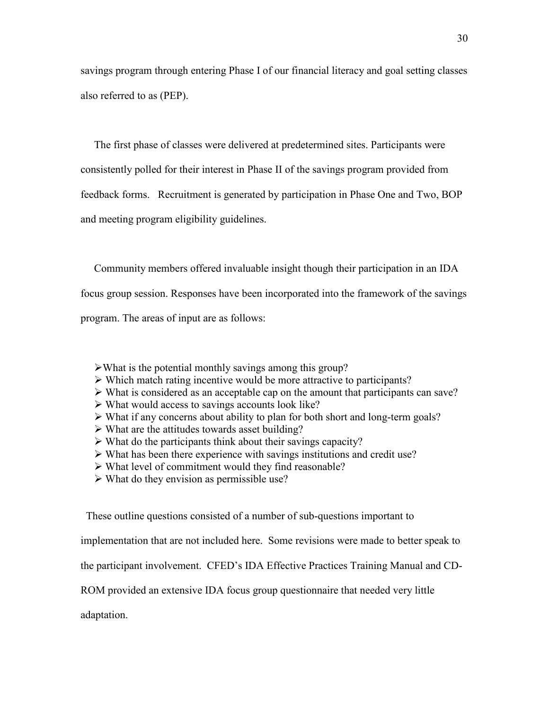savings program through entering Phase I of our financial literacy and goal setting classes also referred to as (PEP).

 The first phase of classes were delivered at predetermined sites. Participants were consistently polled for their interest in Phase II of the savings program provided from feedback forms. Recruitment is generated by participation in Phase One and Two, BOP and meeting program eligibility guidelines.

 Community members offered invaluable insight though their participation in an IDA focus group session. Responses have been incorporated into the framework of the savings

program. The areas of input are as follows:

- $\triangleright$  What is the potential monthly savings among this group?
- $\triangleright$  Which match rating incentive would be more attractive to participants?
- $\triangleright$  What is considered as an acceptable cap on the amount that participants can save?
- $\triangleright$  What would access to savings accounts look like?
- $\triangleright$  What if any concerns about ability to plan for both short and long-term goals?
- $\triangleright$  What are the attitudes towards asset building?
- $\triangleright$  What do the participants think about their savings capacity?
- What has been there experience with savings institutions and credit use?
- What level of commitment would they find reasonable?
- $\triangleright$  What do they envision as permissible use?

These outline questions consisted of a number of sub-questions important to

implementation that are not included here. Some revisions were made to better speak to

the participant involvement. CFED's IDA Effective Practices Training Manual and CD-

ROM provided an extensive IDA focus group questionnaire that needed very little

adaptation.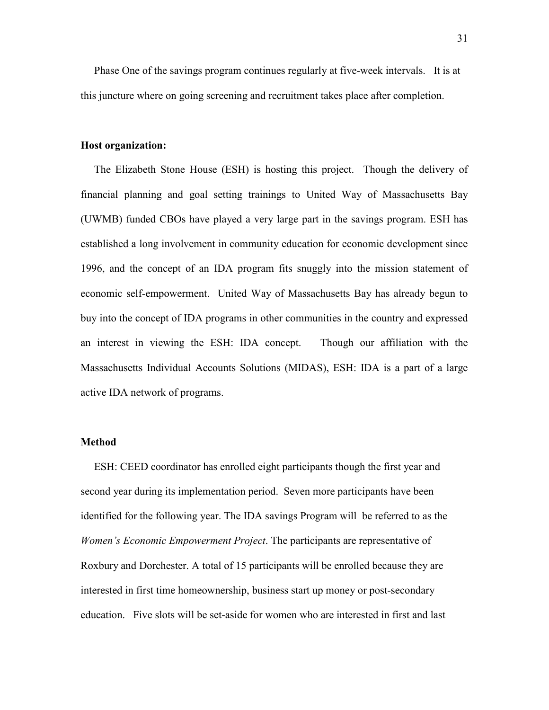Phase One of the savings program continues regularly at five-week intervals. It is at this juncture where on going screening and recruitment takes place after completion.

#### **Host organization:**

 The Elizabeth Stone House (ESH) is hosting this project. Though the delivery of financial planning and goal setting trainings to United Way of Massachusetts Bay (UWMB) funded CBOs have played a very large part in the savings program. ESH has established a long involvement in community education for economic development since 1996, and the concept of an IDA program fits snuggly into the mission statement of economic self-empowerment. United Way of Massachusetts Bay has already begun to buy into the concept of IDA programs in other communities in the country and expressed an interest in viewing the ESH: IDA concept. Though our affiliation with the Massachusetts Individual Accounts Solutions (MIDAS), ESH: IDA is a part of a large active IDA network of programs.

#### **Method**

 ESH: CEED coordinator has enrolled eight participants though the first year and second year during its implementation period. Seven more participants have been identified for the following year. The IDA savings Program will be referred to as the *Women's Economic Empowerment Project*. The participants are representative of Roxbury and Dorchester. A total of 15 participants will be enrolled because they are interested in first time homeownership, business start up money or post-secondary education. Five slots will be set-aside for women who are interested in first and last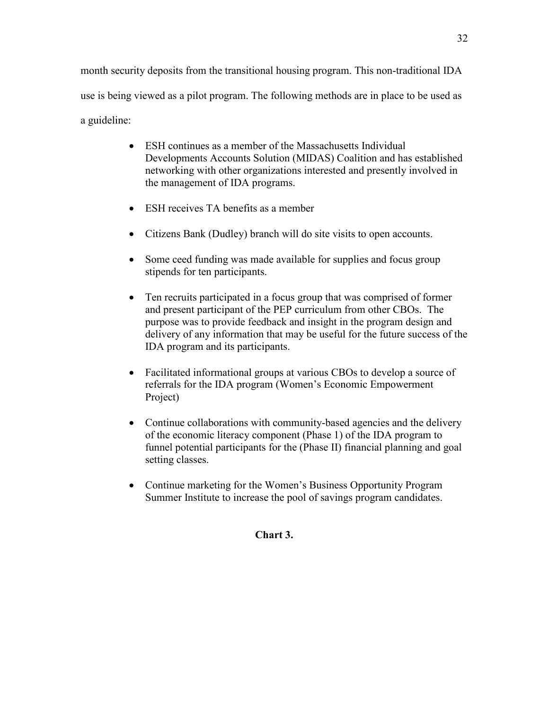month security deposits from the transitional housing program. This non-traditional IDA use is being viewed as a pilot program. The following methods are in place to be used as a guideline:

- ESH continues as a member of the Massachusetts Individual Developments Accounts Solution (MIDAS) Coalition and has established networking with other organizations interested and presently involved in the management of IDA programs.
- ESH receives TA benefits as a member
- Citizens Bank (Dudley) branch will do site visits to open accounts.
- Some ceed funding was made available for supplies and focus group stipends for ten participants.
- Ten recruits participated in a focus group that was comprised of former and present participant of the PEP curriculum from other CBOs. The purpose was to provide feedback and insight in the program design and delivery of any information that may be useful for the future success of the IDA program and its participants.
- Facilitated informational groups at various CBOs to develop a source of referrals for the IDA program (Women's Economic Empowerment Project)
- Continue collaborations with community-based agencies and the delivery of the economic literacy component (Phase 1) of the IDA program to funnel potential participants for the (Phase II) financial planning and goal setting classes.
- Continue marketing for the Women's Business Opportunity Program Summer Institute to increase the pool of savings program candidates.

### **Chart 3.**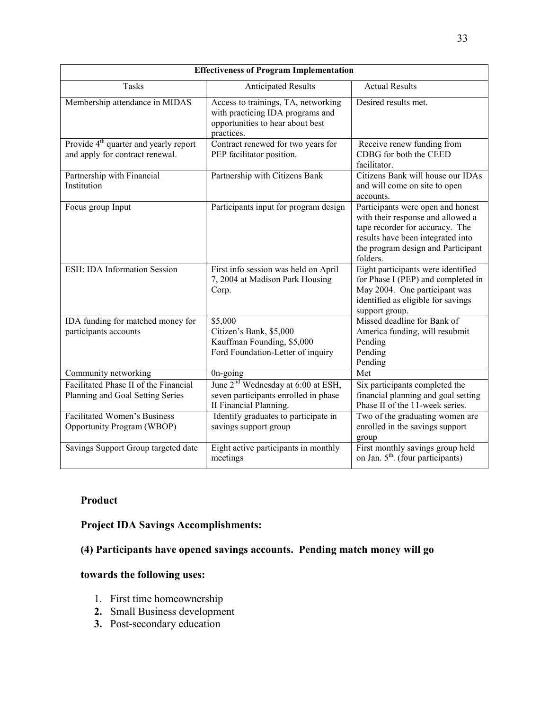| <b>Effectiveness of Program Implementation</b>                                       |                                                                                                                           |                                                                                                                                                                                                  |  |  |
|--------------------------------------------------------------------------------------|---------------------------------------------------------------------------------------------------------------------------|--------------------------------------------------------------------------------------------------------------------------------------------------------------------------------------------------|--|--|
| <b>Tasks</b>                                                                         | <b>Anticipated Results</b>                                                                                                | <b>Actual Results</b>                                                                                                                                                                            |  |  |
| Membership attendance in MIDAS                                                       | Access to trainings, TA, networking<br>with practicing IDA programs and<br>opportunities to hear about best<br>practices. | Desired results met.                                                                                                                                                                             |  |  |
| Provide 4 <sup>th</sup> quarter and yearly report<br>and apply for contract renewal. | Contract renewed for two years for<br>PEP facilitator position.                                                           | Receive renew funding from<br>CDBG for both the CEED<br>facilitator.                                                                                                                             |  |  |
| Partnership with Financial<br>Institution                                            | Partnership with Citizens Bank                                                                                            | Citizens Bank will house our IDAs<br>and will come on site to open<br>accounts.                                                                                                                  |  |  |
| Focus group Input                                                                    | Participants input for program design                                                                                     | Participants were open and honest<br>with their response and allowed a<br>tape recorder for accuracy. The<br>results have been integrated into<br>the program design and Participant<br>folders. |  |  |
| <b>ESH: IDA Information Session</b>                                                  | First info session was held on April<br>7, 2004 at Madison Park Housing<br>Corp.                                          | Eight participants were identified<br>for Phase I (PEP) and completed in<br>May 2004. One participant was<br>identified as eligible for savings<br>support group.                                |  |  |
| IDA funding for matched money for<br>participants accounts                           | \$5,000<br>Citizen's Bank, \$5,000<br>Kauffman Founding, \$5,000<br>Ford Foundation-Letter of inquiry                     | Missed deadline for Bank of<br>America funding, will resubmit<br>Pending<br>Pending<br>Pending                                                                                                   |  |  |
| Community networking                                                                 | 0n-going                                                                                                                  | Met                                                                                                                                                                                              |  |  |
| Facilitated Phase II of the Financial<br>Planning and Goal Setting Series            | June 2 <sup>nd</sup> Wednesday at 6:00 at ESH,<br>seven participants enrolled in phase<br>II Financial Planning.          | Six participants completed the<br>financial planning and goal setting<br>Phase II of the 11-week series.                                                                                         |  |  |
| <b>Facilitated Women's Business</b><br>Opportunity Program (WBOP)                    | Identify graduates to participate in<br>savings support group                                                             | Two of the graduating women are<br>enrolled in the savings support<br>group                                                                                                                      |  |  |
| Savings Support Group targeted date                                                  | Eight active participants in monthly<br>meetings                                                                          | First monthly savings group held<br>on Jan. 5 <sup>th</sup> . (four participants)                                                                                                                |  |  |

# **Product**

**Project IDA Savings Accomplishments:** 

# **(4) Participants have opened savings accounts. Pending match money will go**

# **towards the following uses:**

- 1. First time homeownership
- **2.** Small Business development
- **3.** Post-secondary education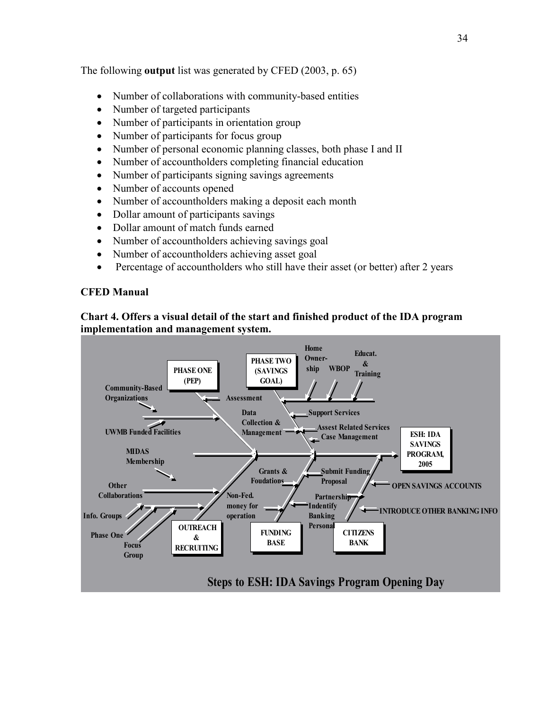The following **output** list was generated by CFED (2003, p. 65)

- Number of collaborations with community-based entities
- Number of targeted participants
- Number of participants in orientation group
- Number of participants for focus group
- Number of personal economic planning classes, both phase I and II
- Number of accountholders completing financial education
- Number of participants signing savings agreements
- Number of accounts opened
- Number of accountholders making a deposit each month
- Dollar amount of participants savings
- Dollar amount of match funds earned
- Number of accountholders achieving savings goal
- Number of accountholders achieving asset goal
- Percentage of accountholders who still have their asset (or better) after 2 years

# **CFED Manual**

# **Chart 4. Offers a visual detail of the start and finished product of the IDA program implementation and management system.**

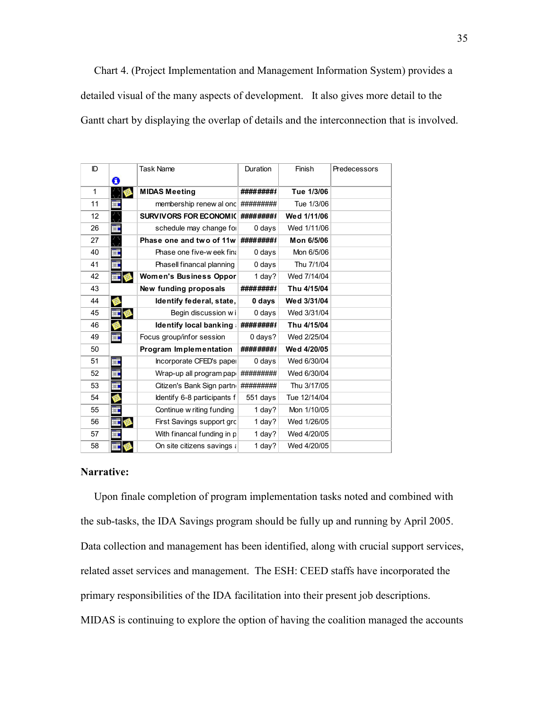Chart 4. (Project Implementation and Management Information System) provides a detailed visual of the many aspects of development. It also gives more detail to the Gantt chart by displaying the overlap of details and the interconnection that is involved.

| ID           |    | <b>Task Name</b>               | Duration  | Finish       | Predecessors |
|--------------|----|--------------------------------|-----------|--------------|--------------|
|              | O  |                                |           |              |              |
| $\mathbf{1}$ |    | <b>MIDAS Meeting</b>           | ########  | Tue 1/3/06   |              |
| 11           | Ŧ  | membership renew al onc        | ######### | Tue 1/3/06   |              |
| 12           | Ö  | <b>SURVIVORS FOR ECONOMIC</b>  | ########  | Wed 1/11/06  |              |
| 26           | Ħ  | schedule may change for        | 0 days    | Wed 1/11/06  |              |
| 27           | Ő  | Phase one and two of 11w       | ########  | Mon 6/5/06   |              |
| 40           | ΞŦ | Phase one five-week fina       | 0 days    | Mon 6/5/06   |              |
| 41           | H  | Phasell financal planning      | 0 days    | Thu 7/1/04   |              |
| 42           |    | <b>Women's Business Oppor</b>  | 1 day?    | Wed 7/14/04  |              |
| 43           |    | New funding proposals          | ########  | Thu 4/15/04  |              |
| 44           |    | Identify federal, state,       | 0 days    | Wed 3/31/04  |              |
| 45           |    | Begin discussion wi            | 0 days    | Wed 3/31/04  |              |
| 46           |    | <b>Identify local banking:</b> | ########  | Thu 4/15/04  |              |
| 49           | Ħ  | Focus group/infor session      | 0 days?   | Wed 2/25/04  |              |
| 50           |    | Program Implementation         | ########  | Wed 4/20/05  |              |
| 51           | ΞE | Incorporate CFED's paper       | 0 days    | Wed 6/30/04  |              |
| 52           | Ŧ  | Wrap-up all program pape       | ######### | Wed 6/30/04  |              |
| 53           | Ħ  | Citizen's Bank Sign partno     | ######### | Thu 3/17/05  |              |
| 54           |    | Identify 6-8 participants f    | 551 days  | Tue 12/14/04 |              |
| 55           | Ŧ  | Continue w riting funding      | 1 day?    | Mon 1/10/05  |              |
| 56           | ĦĦ | First Savings support grc      | 1 day?    | Wed 1/26/05  |              |
| 57           | ĦE | With financal funding in p     | 1 day?    | Wed 4/20/05  |              |
| 58           | ĦĦ | On site citizens savings a     | 1 day?    | Wed 4/20/05  |              |

#### **Narrative:**

 Upon finale completion of program implementation tasks noted and combined with the sub-tasks, the IDA Savings program should be fully up and running by April 2005. Data collection and management has been identified, along with crucial support services, related asset services and management. The ESH: CEED staffs have incorporated the primary responsibilities of the IDA facilitation into their present job descriptions. MIDAS is continuing to explore the option of having the coalition managed the accounts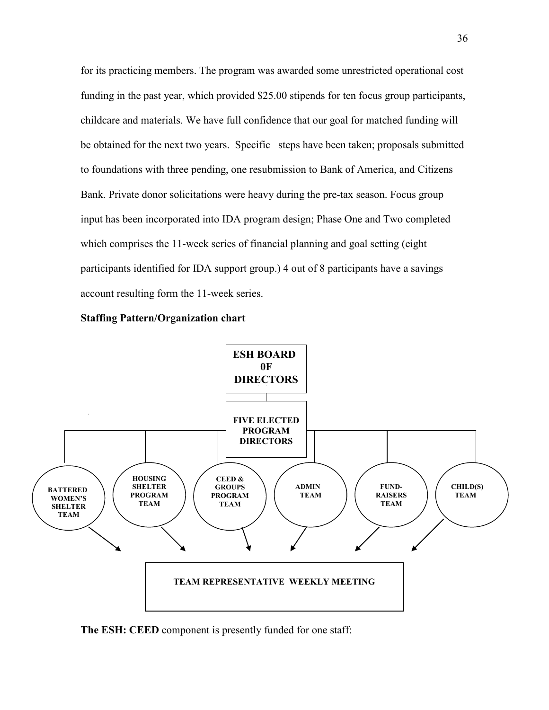for its practicing members. The program was awarded some unrestricted operational cost funding in the past year, which provided \$25.00 stipends for ten focus group participants, childcare and materials. We have full confidence that our goal for matched funding will be obtained for the next two years. Specific steps have been taken; proposals submitted to foundations with three pending, one resubmission to Bank of America, and Citizens Bank. Private donor solicitations were heavy during the pre-tax season. Focus group input has been incorporated into IDA program design; Phase One and Two completed which comprises the 11-week series of financial planning and goal setting (eight participants identified for IDA support group.) 4 out of 8 participants have a savings account resulting form the 11-week series.





**The ESH: CEED** component is presently funded for one staff: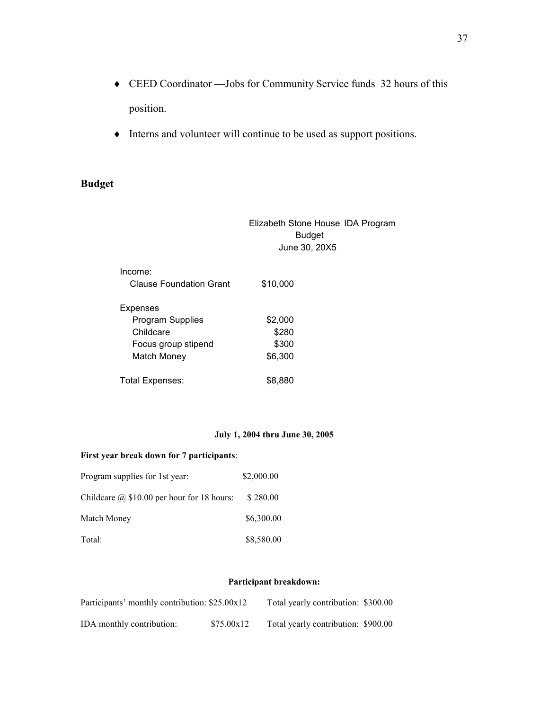- ♦ CEED Coordinator —Jobs for Community Service funds 32 hours of this position.
- ♦ Interns and volunteer will continue to be used as support positions.

# **Budget**

|                         | Elizabeth Stone House IDA Program<br><b>Budget</b><br>June 30, 20X5 |  |
|-------------------------|---------------------------------------------------------------------|--|
| Income:                 |                                                                     |  |
| Clause Foundation Grant | \$10,000                                                            |  |
| Expenses                |                                                                     |  |
| <b>Program Supplies</b> | \$2,000                                                             |  |
| Childcare               | \$280                                                               |  |
| Focus group stipend     | \$300                                                               |  |
| Match Money             | \$6,300                                                             |  |
| Total Expenses:         | \$8,880                                                             |  |

### **July 1, 2004 thru June 30, 2005**

### **First year break down for 7 participants**:

| Program supplies for 1st year:                    | \$2,000.00 |
|---------------------------------------------------|------------|
| Childcare $\omega$ \$10.00 per hour for 18 hours: | \$280.00   |
| Match Money                                       | \$6,300.00 |
| Total:                                            | \$8,580.00 |

#### **Participant breakdown:**

| Participants' monthly contribution: \$25.00x12 |            | Total yearly contribution: \$300.00 |  |
|------------------------------------------------|------------|-------------------------------------|--|
| IDA monthly contribution:                      | \$75.00x12 | Total yearly contribution: \$900.00 |  |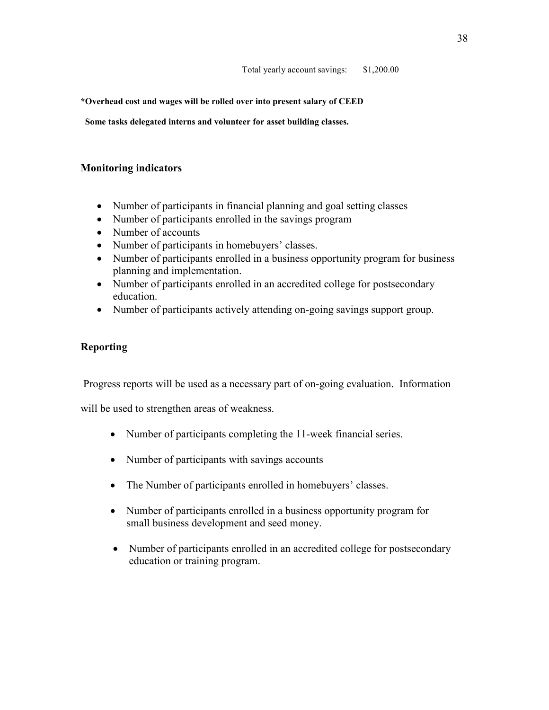**\*Overhead cost and wages will be rolled over into present salary of CEED** 

 **Some tasks delegated interns and volunteer for asset building classes.**

## **Monitoring indicators**

- Number of participants in financial planning and goal setting classes
- Number of participants enrolled in the savings program
- Number of accounts
- Number of participants in homebuyers' classes.
- Number of participants enrolled in a business opportunity program for business planning and implementation.
- Number of participants enrolled in an accredited college for postsecondary education.
- Number of participants actively attending on-going savings support group.

# **Reporting**

Progress reports will be used as a necessary part of on-going evaluation. Information

will be used to strengthen areas of weakness.

- Number of participants completing the 11-week financial series.
- Number of participants with savings accounts
- The Number of participants enrolled in homebuyers' classes.
- Number of participants enrolled in a business opportunity program for small business development and seed money.
- Number of participants enrolled in an accredited college for postsecondary education or training program.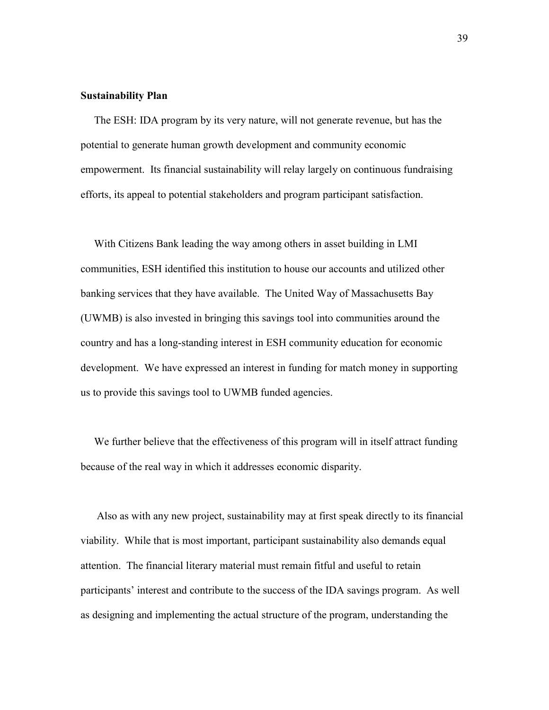#### **Sustainability Plan**

 The ESH: IDA program by its very nature, will not generate revenue, but has the potential to generate human growth development and community economic empowerment. Its financial sustainability will relay largely on continuous fundraising efforts, its appeal to potential stakeholders and program participant satisfaction.

 With Citizens Bank leading the way among others in asset building in LMI communities, ESH identified this institution to house our accounts and utilized other banking services that they have available. The United Way of Massachusetts Bay (UWMB) is also invested in bringing this savings tool into communities around the country and has a long-standing interest in ESH community education for economic development. We have expressed an interest in funding for match money in supporting us to provide this savings tool to UWMB funded agencies.

We further believe that the effectiveness of this program will in itself attract funding because of the real way in which it addresses economic disparity.

 Also as with any new project, sustainability may at first speak directly to its financial viability. While that is most important, participant sustainability also demands equal attention. The financial literary material must remain fitful and useful to retain participants' interest and contribute to the success of the IDA savings program. As well as designing and implementing the actual structure of the program, understanding the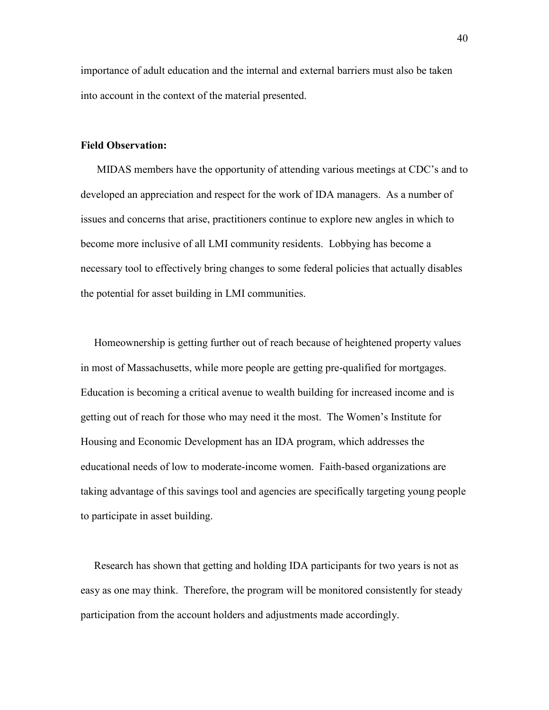importance of adult education and the internal and external barriers must also be taken into account in the context of the material presented.

#### **Field Observation:**

MIDAS members have the opportunity of attending various meetings at CDC's and to developed an appreciation and respect for the work of IDA managers. As a number of issues and concerns that arise, practitioners continue to explore new angles in which to become more inclusive of all LMI community residents. Lobbying has become a necessary tool to effectively bring changes to some federal policies that actually disables the potential for asset building in LMI communities.

 Homeownership is getting further out of reach because of heightened property values in most of Massachusetts, while more people are getting pre-qualified for mortgages. Education is becoming a critical avenue to wealth building for increased income and is getting out of reach for those who may need it the most. The Women's Institute for Housing and Economic Development has an IDA program, which addresses the educational needs of low to moderate-income women. Faith-based organizations are taking advantage of this savings tool and agencies are specifically targeting young people to participate in asset building.

 Research has shown that getting and holding IDA participants for two years is not as easy as one may think. Therefore, the program will be monitored consistently for steady participation from the account holders and adjustments made accordingly.

40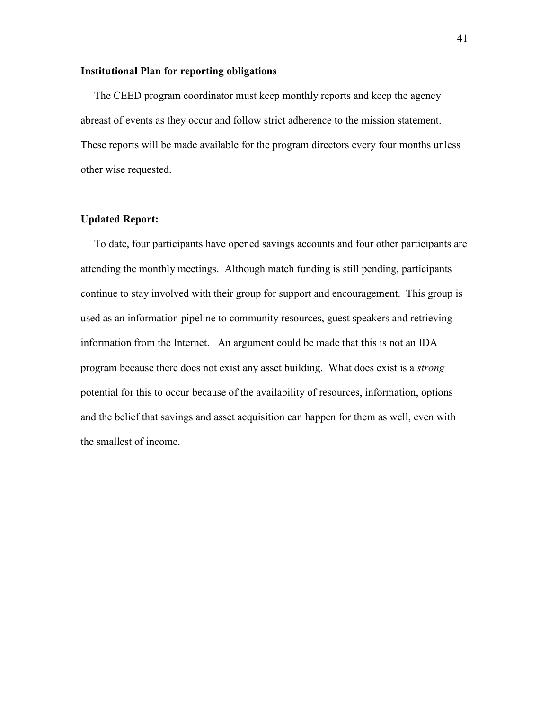#### **Institutional Plan for reporting obligations**

 The CEED program coordinator must keep monthly reports and keep the agency abreast of events as they occur and follow strict adherence to the mission statement. These reports will be made available for the program directors every four months unless other wise requested.

### **Updated Report:**

To date, four participants have opened savings accounts and four other participants are attending the monthly meetings. Although match funding is still pending, participants continue to stay involved with their group for support and encouragement. This group is used as an information pipeline to community resources, guest speakers and retrieving information from the Internet. An argument could be made that this is not an IDA program because there does not exist any asset building. What does exist is a *strong* potential for this to occur because of the availability of resources, information, options and the belief that savings and asset acquisition can happen for them as well, even with the smallest of income.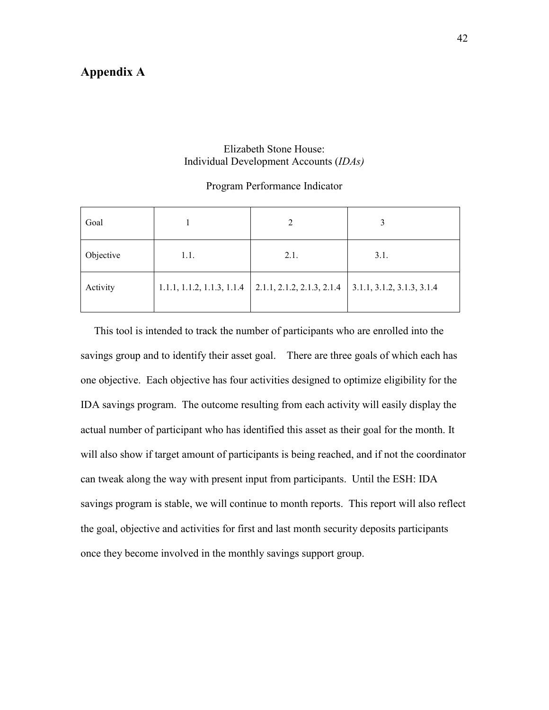# **Appendix A**

### Elizabeth Stone House: Individual Development Accounts (*IDAs)*

### Program Performance Indicator

| Goal      |                            |                            |                            |
|-----------|----------------------------|----------------------------|----------------------------|
| Objective | 1.1.                       | 2.1.                       | 3.1.                       |
| Activity  | 1.1.1, 1.1.2, 1.1.3, 1.1.4 | 2.1.1, 2.1.2, 2.1.3, 2.1.4 | 3.1.1, 3.1.2, 3.1.3, 3.1.4 |

This tool is intended to track the number of participants who are enrolled into the savings group and to identify their asset goal. There are three goals of which each has one objective. Each objective has four activities designed to optimize eligibility for the IDA savings program. The outcome resulting from each activity will easily display the actual number of participant who has identified this asset as their goal for the month. It will also show if target amount of participants is being reached, and if not the coordinator can tweak along the way with present input from participants. Until the ESH: IDA savings program is stable, we will continue to month reports. This report will also reflect the goal, objective and activities for first and last month security deposits participants once they become involved in the monthly savings support group.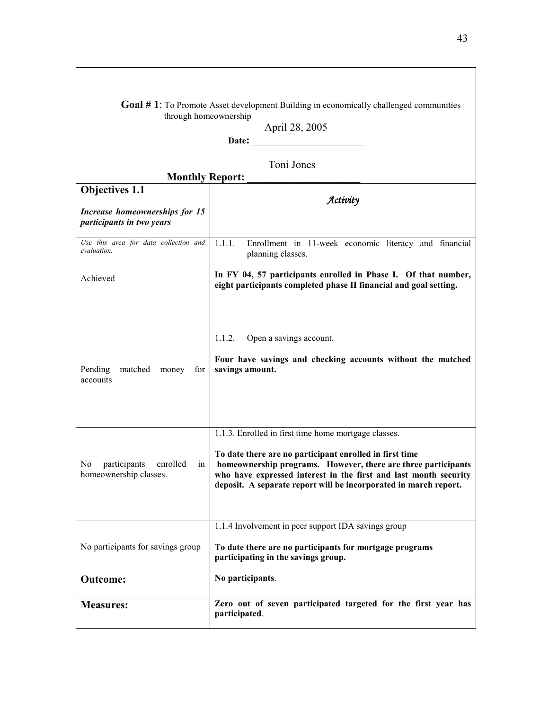| <b>Goal #1:</b> To Promote Asset development Building in economically challenged communities<br>through homeownership<br>April 28, 2005<br>Date:<br><u> 1989 - Johann Barbara, martxa al</u> |                                                                                                                                                                                                                                                                                                                          |  |
|----------------------------------------------------------------------------------------------------------------------------------------------------------------------------------------------|--------------------------------------------------------------------------------------------------------------------------------------------------------------------------------------------------------------------------------------------------------------------------------------------------------------------------|--|
| <b>Monthly Report:</b>                                                                                                                                                                       | Toni Jones                                                                                                                                                                                                                                                                                                               |  |
| <b>Objectives 1.1</b><br>Increase homeownerships for 15<br>participants in two years                                                                                                         | Activity                                                                                                                                                                                                                                                                                                                 |  |
| Use this area for data collection and<br>evaluation.                                                                                                                                         | 1.1.1.<br>Enrollment in 11-week economic literacy and financial<br>planning classes.                                                                                                                                                                                                                                     |  |
| Achieved                                                                                                                                                                                     | In FY 04, 57 participants enrolled in Phase I. Of that number,<br>eight participants completed phase II financial and goal setting.                                                                                                                                                                                      |  |
| Pending<br>matched<br>money<br>for<br>accounts                                                                                                                                               | 1.1.2.<br>Open a savings account.<br>Four have savings and checking accounts without the matched<br>savings amount.                                                                                                                                                                                                      |  |
| No<br>participants<br>enrolled<br>ın<br>homeownership classes.                                                                                                                               | 1.1.3. Enrolled in first time home mortgage classes.<br>To date there are no participant enrolled in first time<br>homeownership programs. However, there are three participants<br>who have expressed interest in the first and last month security<br>deposit. A separate report will be incorporated in march report. |  |
| No participants for savings group                                                                                                                                                            | 1.1.4 Involvement in peer support IDA savings group<br>To date there are no participants for mortgage programs<br>participating in the savings group.                                                                                                                                                                    |  |
| <b>Outcome:</b>                                                                                                                                                                              | No participants.                                                                                                                                                                                                                                                                                                         |  |
| <b>Measures:</b>                                                                                                                                                                             | Zero out of seven participated targeted for the first year has<br>participated.                                                                                                                                                                                                                                          |  |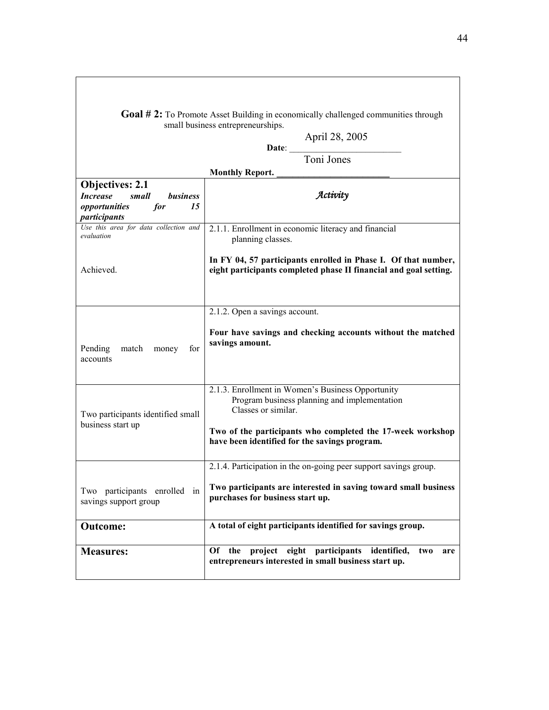| <b>Goal #2:</b> To Promote Asset Building in economically challenged communities through<br>small business entrepreneurships. |                                                                                                                                                                                                                                         |
|-------------------------------------------------------------------------------------------------------------------------------|-----------------------------------------------------------------------------------------------------------------------------------------------------------------------------------------------------------------------------------------|
|                                                                                                                               | April 28, 2005<br>Date:<br>Toni Jones                                                                                                                                                                                                   |
|                                                                                                                               | <b>Monthly Report.</b>                                                                                                                                                                                                                  |
| <b>Objectives: 2.1</b><br><b>Increase</b><br>business<br>small<br>15<br>opportunities<br>for<br>participants                  | Activity                                                                                                                                                                                                                                |
| Use this area for data collection and<br>evaluation                                                                           | 2.1.1. Enrollment in economic literacy and financial<br>planning classes.                                                                                                                                                               |
| Achieved.                                                                                                                     | In FY 04, 57 participants enrolled in Phase I. Of that number,<br>eight participants completed phase II financial and goal setting.                                                                                                     |
| Pending<br>match<br>money<br>for<br>accounts                                                                                  | 2.1.2. Open a savings account.<br>Four have savings and checking accounts without the matched<br>savings amount.                                                                                                                        |
| Two participants identified small<br>business start up                                                                        | 2.1.3. Enrollment in Women's Business Opportunity<br>Program business planning and implementation<br>Classes or similar.<br>Two of the participants who completed the 17-week workshop<br>have been identified for the savings program. |
| participants enrolled<br>Two<br>in<br>savings support group                                                                   | 2.1.4. Participation in the on-going peer support savings group.<br>Two participants are interested in saving toward small business<br>purchases for business start up.                                                                 |
| <b>Outcome:</b>                                                                                                               | A total of eight participants identified for savings group.                                                                                                                                                                             |
| <b>Measures:</b>                                                                                                              | Of the project eight participants identified,<br>two<br>are<br>entrepreneurs interested in small business start up.                                                                                                                     |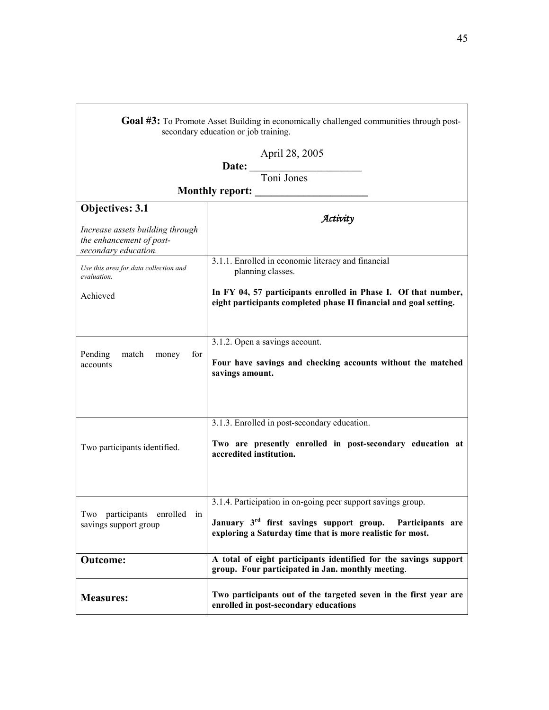| Goal #3: To Promote Asset Building in economically challenged communities through post-<br>secondary education or job training. |                                                                                                                                                                                                     |  |  |
|---------------------------------------------------------------------------------------------------------------------------------|-----------------------------------------------------------------------------------------------------------------------------------------------------------------------------------------------------|--|--|
| April 28, 2005                                                                                                                  |                                                                                                                                                                                                     |  |  |
| Date: Toni Jones                                                                                                                |                                                                                                                                                                                                     |  |  |
|                                                                                                                                 |                                                                                                                                                                                                     |  |  |
| <b>Monthly report:</b>                                                                                                          |                                                                                                                                                                                                     |  |  |
| Objectives: 3.1                                                                                                                 | Activity                                                                                                                                                                                            |  |  |
| Increase assets building through<br>the enhancement of post-<br>secondary education.                                            |                                                                                                                                                                                                     |  |  |
| Use this area for data collection and<br>evaluation.                                                                            | 3.1.1. Enrolled in economic literacy and financial<br>planning classes.                                                                                                                             |  |  |
| Achieved                                                                                                                        | In FY 04, 57 participants enrolled in Phase I. Of that number,<br>eight participants completed phase II financial and goal setting.                                                                 |  |  |
| Pending<br>match<br>for<br>money<br>accounts                                                                                    | 3.1.2. Open a savings account.<br>Four have savings and checking accounts without the matched<br>savings amount.                                                                                    |  |  |
|                                                                                                                                 | 3.1.3. Enrolled in post-secondary education.                                                                                                                                                        |  |  |
| Two participants identified.                                                                                                    | Two are presently enrolled in post-secondary education at<br>accredited institution.                                                                                                                |  |  |
| Two participants enrolled in<br>savings support group                                                                           | 3.1.4. Participation in on-going peer support savings group.<br>January 3 <sup>rd</sup> first savings support group. Participants are<br>exploring a Saturday time that is more realistic for most. |  |  |
| <b>Outcome:</b>                                                                                                                 | A total of eight participants identified for the savings support<br>group. Four participated in Jan. monthly meeting.                                                                               |  |  |
| <b>Measures:</b>                                                                                                                | Two participants out of the targeted seven in the first year are<br>enrolled in post-secondary educations                                                                                           |  |  |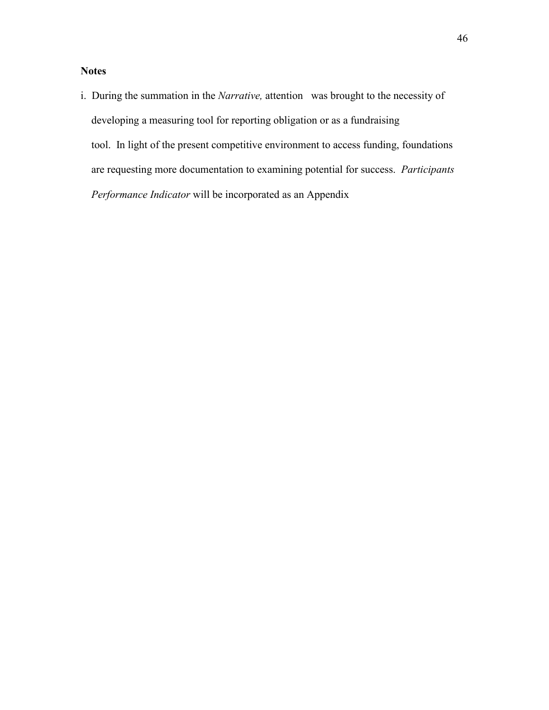# **Notes**

i. During the summation in the *Narrative,* attention was brought to the necessity of developing a measuring tool for reporting obligation or as a fundraising tool. In light of the present competitive environment to access funding, foundations are requesting more documentation to examining potential for success. *Participants Performance Indicator* will be incorporated as an Appendix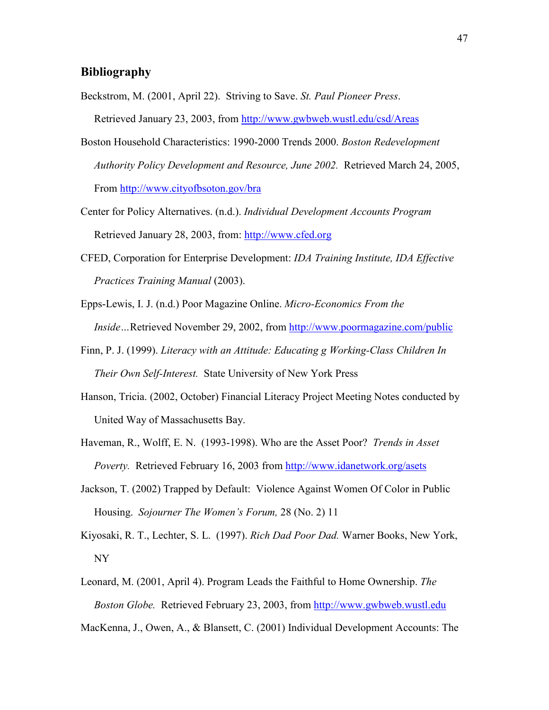### **Bibliography**

- Beckstrom, M. (2001, April 22). Striving to Save. *St. Paul Pioneer Press*. Retrieved January 23, 2003, from http://www.gwbweb.wustl.edu/csd/Areas
- Boston Household Characteristics: 1990-2000 Trends 2000. *Boston Redevelopment Authority Policy Development and Resource, June 2002.* Retrieved March 24, 2005, From http://www.cityofbsoton.gov/bra
- Center for Policy Alternatives. (n.d.). *Individual Development Accounts Program*  Retrieved January 28, 2003, from: http://www.cfed.org
- CFED, Corporation for Enterprise Development: *IDA Training Institute, IDA Effective Practices Training Manual* (2003).
- Epps-Lewis, I. J. (n.d.) Poor Magazine Online. *Micro-Economics From the Inside…*Retrieved November 29, 2002, from http://www.poormagazine.com/public
- Finn, P. J. (1999). *Literacy with an Attitude: Educating g Working-Class Children In Their Own Self-Interest.* State University of New York Press
- Hanson, Tricia. (2002, October) Financial Literacy Project Meeting Notes conducted by United Way of Massachusetts Bay.
- Haveman, R., Wolff, E. N. (1993-1998). Who are the Asset Poor? *Trends in Asset Poverty.* Retrieved February 16, 2003 from http://www.idanetwork.org/asets
- Jackson, T. (2002) Trapped by Default: Violence Against Women Of Color in Public Housing. *Sojourner The Women's Forum,* 28 (No. 2) 11
- Kiyosaki, R. T., Lechter, S. L. (1997). *Rich Dad Poor Dad.* Warner Books, New York, NY
- Leonard, M. (2001, April 4). Program Leads the Faithful to Home Ownership. *The Boston Globe.* Retrieved February 23, 2003, from http://www.gwbweb.wustl.edu
- MacKenna, J., Owen, A., & Blansett, C. (2001) Individual Development Accounts: The